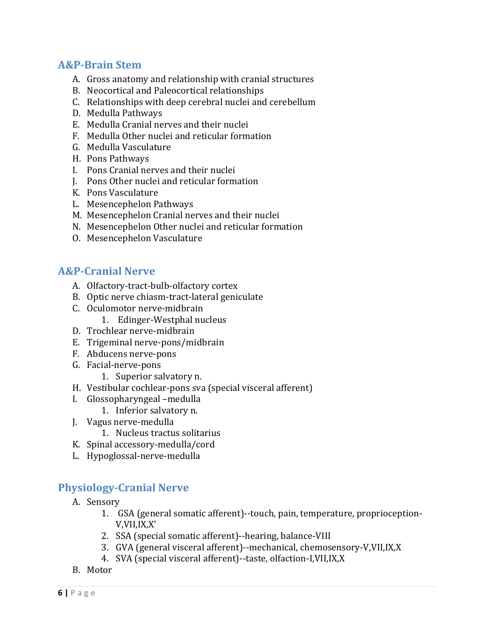#### **A&P‐Brain Stem**

- A. Gross anatomy and relationship with cranial structures
- B. Neocortical and Paleocortical relationships
- C. Relationships with deep cerebral nuclei and cerebellum
- D. Medulla Pathways
- E. Medulla Cranial nerves and their nuclei
- F. Medulla Other nuclei and reticular formation
- G. Medulla Vasculature
- H. Pons Pathways
- I. Pons Cranial nerves and their nuclei
- J. Pons Other nuclei and reticular formation
- K. Pons Vasculature
- L. Mesencephelon Pathways
- M. Mesencephelon Cranial nerves and their nuclei
- N. Mesencephelon Other nuclei and reticular formation
- O. Mesencephelon Vasculature

# **A&P‐Cranial Nerve**

- A. Olfactory-tract-bulb-olfactory cortex
- B. Optic nerve chiasm-tract-lateral geniculate
- C. Oculomotor nerve-midbrain
	- 1. Edinger-Westphal nucleus
- D. Trochlear nerve-midbrain
- E. Trigeminal nerve-pons/midbrain
- F. Abducens nerve-pons
- G. Facial‐nerve‐pons
	- 1. Superior salvatory n.
- H. Vestibular cochlear-pons sva (special visceral afferent)
- I. Glossopharyngeal -medulla
	- 1. Inferior salvatory n.
- J. Vagus nerve-medulla
	- 1. Nucleus tractus solitarius
- K. Spinal accessory-medulla/cord
- L. Hypoglossal‐nerve‐medulla

### **Physiology‐Cranial Nerve**

- A. Sensory
	- 1. GSA (general somatic afferent)--touch, pain, temperature, proprioception-V,VII,IX,X'
	- 2. SSA (special somatic afferent)--hearing, balance-VIII
	- 3. GVA (general visceral afferent)--mechanical, chemosensory-V,VII,IX,X
	- 4. SVA (special visceral afferent)--taste, olfaction-I,VII,IX,X
- B. Motor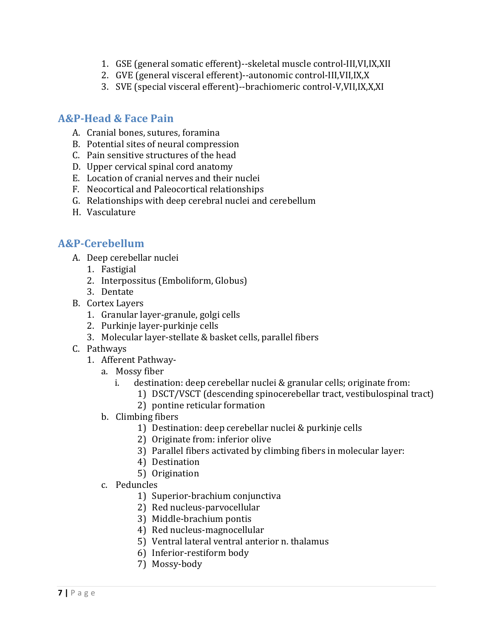- 1. GSE (general somatic efferent)--skeletal muscle control-III, VI, IX, XII
- 2. GVE (general visceral efferent)--autonomic control-III,VII,IX,X
- 3. SVE (special visceral efferent)--brachiomeric control-V,VII,IX,X,XI

#### **A&P‐Head & Face Pain**

- A. Cranial bones, sutures, foramina
- B. Potential sites of neural compression
- C. Pain sensitive structures of the head
- D. Upper cervical spinal cord anatomy
- E. Location of cranial nerves and their nuclei
- F. Neocortical and Paleocortical relationships
- G. Relationships with deep cerebral nuclei and cerebellum
- H. Vasculature

### **A&P‐Cerebellum**

- A. Deep cerebellar nuclei
	- 1. Fastigial
	- 2. Interpossitus (Emboliform, Globus)
	- 3. Dentate
- B. Cortex Layers
	- 1. Granular layer-granule, golgi cells
	- 2. Purkinje layer-purkinje cells
	- 3. Molecular layer-stellate & basket cells, parallel fibers
- C. Pathways
	- 1. Afferent Pathway
		- a. Mossy fiber
			- i. destination: deep cerebellar nuclei  $&$  granular cells; originate from:
				- 1) DSCT/VSCT (descending spinocerebellar tract, vestibulospinal tract)
				- 2) pontine reticular formation
		- b. Climbing fibers
			- 1) Destination: deep cerebellar nuclei & purkinje cells
			- 2) Originate from: inferior olive
			- 3) Parallel fibers activated by climbing fibers in molecular layer:
			- 4) Destination
			- 5) Origination
		- c. Peduncles
			- 1) Superior-brachium conjunctiva
			- 2) Red nucleus-parvocellular
			- 3) Middle-brachium pontis
			- 4) Red nucleus-magnocellular
			- 5) Ventral lateral ventral anterior n. thalamus
			- 6) Inferior‐restiform body
			- 7) Mossy‐body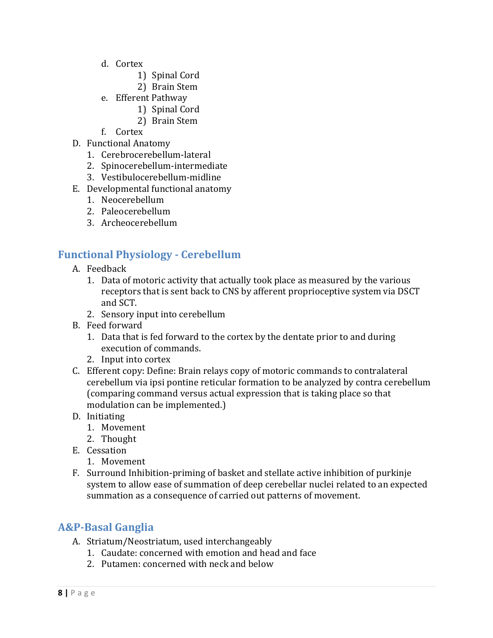- d. Cortex
	- 1) Spinal Cord
	- 2) Brain Stem
- e. Efferent Pathway
	- 1) Spinal Cord
	- 2) Brain Stem
- f. Cortex
- D. Functional Anatomy
	- 1. Cerebrocerebellum‐lateral
	- 2. Spinocerebellum‐intermediate
	- 3. Vestibulocerebellum‐midline
- E. Developmental functional anatomy
	- 1. Neocerebellum
	- 2. Paleocerebellum
	- 3. Archeocerebellum

### **Functional Physiology ‐ Cerebellum**

- A. Feedback
	- 1. Data of motoric activity that actually took place as measured by the various receptors that is sent back to CNS by afferent proprioceptive system via DSCT and SCT.
	- 2. Sensory input into cerebellum
- B. Feed forward
	- 1. Data that is fed forward to the cortex by the dentate prior to and during execution of commands.
	- 2. Input into cortex
- C. Efferent copy: Define: Brain relays copy of motoric commands to contralateral cerebellum via ipsi pontine reticular formation to be analyzed by contra cerebellum (comparing command versus actual expression that is taking place so that modulation can be implemented.)
- D. Initiating
	- 1. Movement
	- 2. Thought
- E. Cessation
	- 1. Movement
- F. Surround Inhibition-priming of basket and stellate active inhibition of purkinje system to allow ease of summation of deep cerebellar nuclei related to an expected summation as a consequence of carried out patterns of movement.

### **A&P‐Basal Ganglia**

- A. Striatum/Neostriatum, used interchangeably
	- 1. Caudate: concerned with emotion and head and face
	- 2. Putamen: concerned with neck and below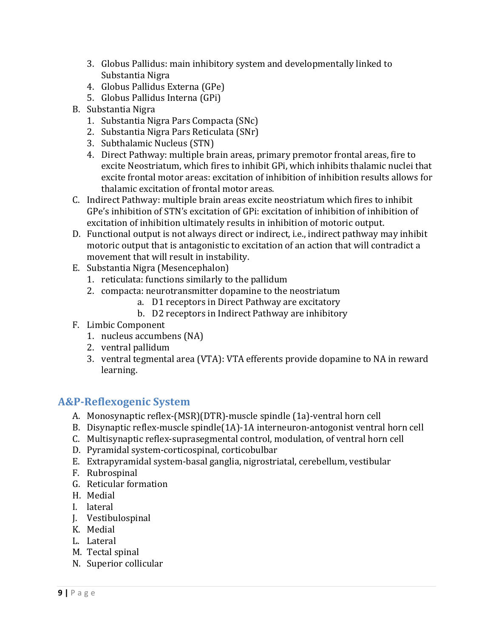- 3. Globus Pallidus: main inhibitory system and developmentally linked to Substantia Nigra
- 4. Globus Pallidus Externa (GPe)
- 5. Globus Pallidus Interna (GPi)
- B. Substantia Nigra
	- 1. Substantia Nigra Pars Compacta (SNc)
	- 2. Substantia Nigra Pars Reticulata (SNr)
	- 3. Subthalamic Nucleus (STN)
	- 4. Direct Pathway: multiple brain areas, primary premotor frontal areas, fire to excite Neostriatum, which fires to inhibit GPi, which inhibits thalamic nuclei that excite frontal motor areas: excitation of inhibition of inhibition results allows for thalamic excitation of frontal motor areas.
- C. Indirect Pathway: multiple brain areas excite neostriatum which fires to inhibit GPe's inhibition of STN's excitation of GPi: excitation of inhibition of inhibition of excitation of inhibition ultimately results in inhibition of motoric output.
- D. Functional output is not always direct or indirect, i.e., indirect pathway may inhibit motoric output that is antagonistic to excitation of an action that will contradict a movement that will result in instability.
- E. Substantia Nigra (Mesencephalon)
	- 1. reticulata: functions similarly to the pallidum
	- 2. compacta: neurotransmitter dopamine to the neostriatum
		- a. D1 receptors in Direct Pathway are excitatory
		- b. D2 receptors in Indirect Pathway are inhibitory
- F. Limbic Component
	- 1. nucleus accumbens (NA)
	- 2. ventral pallidum
	- 3. ventral tegmental area (VTA): VTA efferents provide dopamine to NA in reward learning.

# **A&P‐Reflexogenic System**

- A. Monosynaptic reflex-(MSR)(DTR)-muscle spindle (1a)-ventral horn cell
- B. Disynaptic reflex-muscle spindle(1A)–1A interneuron-antogonist ventral horn cell
- C. Multisynaptic reflex-suprasegmental control, modulation, of ventral horn cell
- D. Pyramidal system-corticospinal, corticobulbar
- E. Extrapyramidal system-basal ganglia, nigrostriatal, cerebellum, vestibular
- F. Rubrospinal
- G. Reticular formation
- H. Medial
- I. lateral
- J. Vestibulospinal
- K. Medial
- L. Lateral
- M. Tectal spinal
- N. Superior collicular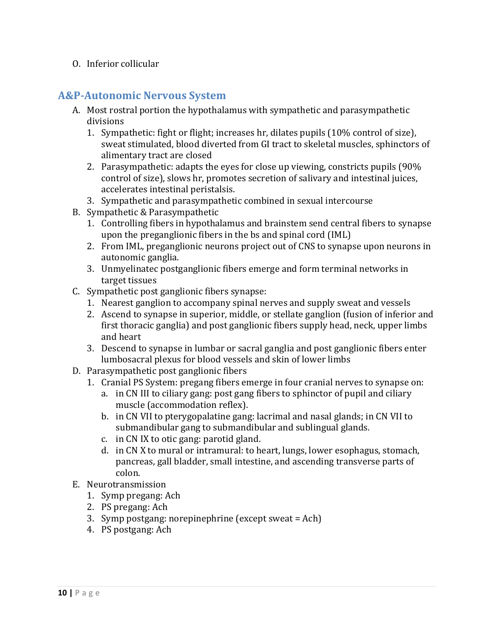#### O. Inferior collicular

#### **A&P‐Autonomic Nervous System**

- A. Most rostral portion the hypothalamus with sympathetic and parasympathetic divisions
	- 1. Sympathetic: fight or flight; increases hr, dilates pupils (10% control of size), sweat stimulated, blood diverted from GI tract to skeletal muscles, sphinctors of alimentary tract are closed
	- 2. Parasympathetic: adapts the eyes for close up viewing, constricts pupils (90%) control of size), slows hr, promotes secretion of salivary and intestinal juices, accelerates intestinal peristalsis.
	- 3. Sympathetic and parasympathetic combined in sexual intercourse
- B. Sympathetic & Parasympathetic
	- 1. Controlling fibers in hypothalamus and brainstem send central fibers to synapse upon the preganglionic fibers in the bs and spinal cord (IML)
	- 2. From IML, preganglionic neurons project out of CNS to synapse upon neurons in autonomic ganglia.
	- 3. Unmyelinatec postganglionic fibers emerge and form terminal networks in target tissues
- C. Sympathetic post ganglionic fibers synapse:
	- 1. Nearest ganglion to accompany spinal nerves and supply sweat and vessels
	- 2. Ascend to synapse in superior, middle, or stellate ganglion (fusion of inferior and first thoracic ganglia) and post ganglionic fibers supply head, neck, upper limbs and heart
	- 3. Descend to synapse in lumbar or sacral ganglia and post ganglionic fibers enter lumbosacral plexus for blood vessels and skin of lower limbs
- D. Parasympathetic post ganglionic fibers
	- 1. Cranial PS System: pregang fibers emerge in four cranial nerves to synapse on:
		- a. in CN III to ciliary gang: post gang fibers to sphinctor of pupil and ciliary muscle (accommodation reflex).
		- b. in CN VII to pterygopalatine gang: lacrimal and nasal glands; in CN VII to submandibular gang to submandibular and sublingual glands.
		- c. in CN IX to otic gang: parotid gland.
		- d. in CN X to mural or intramural: to heart, lungs, lower esophagus, stomach, pancreas, gall bladder, small intestine, and ascending transverse parts of colon.
- E. Neurotransmission
	- 1. Symp pregang: Ach
	- 2. PS pregang: Ach
	- 3. Symp postgang: norepinephrine  $(except$  sweat = Ach)
	- 4. PS postgang: Ach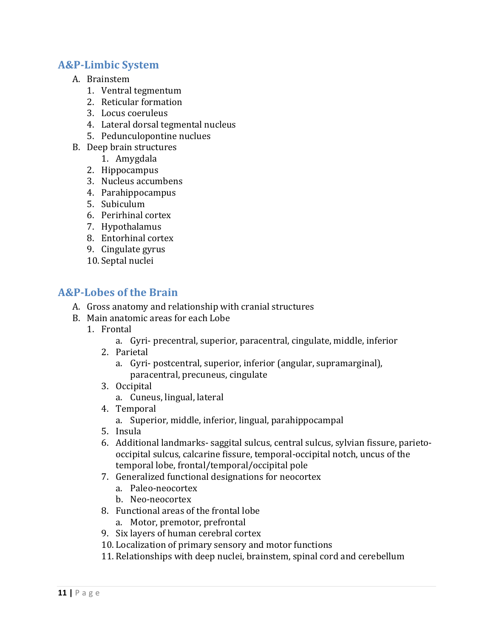#### **A&P‐Limbic System**

- A. Brainstem
	- 1. Ventral tegmentum
	- 2. Reticular formation
	- 3. Locus coeruleus
	- 4. Lateral dorsal tegmental nucleus
	- 5. Pedunculopontine nuclues
- B. Deep brain structures
	- 1. Amygdala
	- 2. Hippocampus
	- 3. Nucleus accumbens
	- 4. Parahippocampus
	- 5. Subiculum
	- 6. Perirhinal cortex
	- 7. Hypothalamus
	- 8. Entorhinal cortex
	- 9. Cingulate gyrus
	- 10. Septal nuclei

### **A&P‐Lobes of the Brain**

- A. Gross anatomy and relationship with cranial structures
- B. Main anatomic areas for each Lobe
	- 1. Frontal
		- a. Gyri- precentral, superior, paracentral, cingulate, middle, inferior
		- 2. Parietal
			- a. Gyri- postcentral, superior, inferior (angular, supramarginal), paracentral, precuneus, cingulate
		- 3. Occipital
			- a. Cuneus, lingual, lateral
		- 4. Temporal
			- a. Superior, middle, inferior, lingual, parahippocampal
		- 5. Insula
		- 6. Additional landmarks- saggital sulcus, central sulcus, sylvian fissure, parietooccipital sulcus, calcarine fissure, temporal-occipital notch, uncus of the temporal lobe, frontal/temporal/occipital pole
		- 7. Generalized functional designations for neocortex
			- a. Paleo‐neocortex
			- b. Neo‐neocortex
		- 8. Functional areas of the frontal lobe
			- a. Motor, premotor, prefrontal
		- 9. Six layers of human cerebral cortex
		- 10. Localization of primary sensory and motor functions
		- 11. Relationships with deep nuclei, brainstem, spinal cord and cerebellum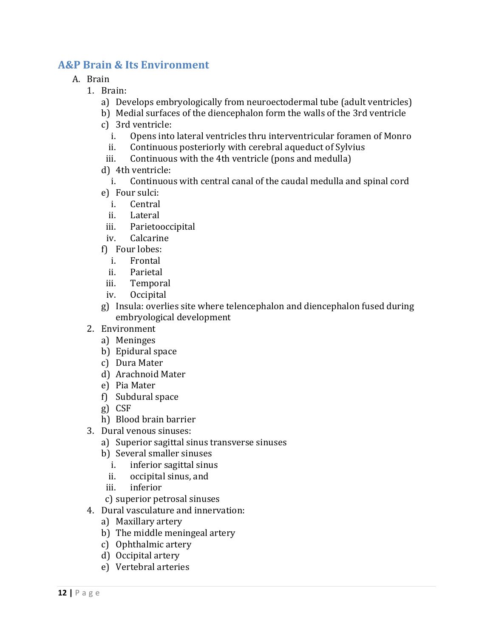## **A&P Brain & Its Environment**

- A. Brain
	- 1. Brain:
		- a) Develops embryologically from neuroectodermal tube (adult ventricles)
		- b) Medial surfaces of the diencephalon form the walls of the 3rd ventricle
		- c) 3rd ventricle:
			- i. Opens into lateral ventricles thru interventricular foramen of Monro
			- ii. Continuous posteriorly with cerebral aqueduct of Sylvius
		- iii. Continuous with the 4th ventricle (pons and medulla)
		- d) 4th ventricle:

#### i. Continuous with central canal of the caudal medulla and spinal cord

- e) Four sulci:
	- i. Central
	- ii. Lateral
- iii. Parietooccipital
- iv. Calcarine
- f) Four lobes:
	- i. Frontal
	- ii. Parietal
- iii. Temporal
- iv. Occipital
- g) Insula: overlies site where telencephalon and diencephalon fused during embryological development
- 2. Environment
	- a) Meninges
	- b) Epidural space
	- c) Dura Mater
	- d) Arachnoid Mater
	- e) Pia Mater
	- $f$ ) Subdural space
	- g) CSF
	- h) Blood brain barrier
- 3. Dural venous sinuses:
	- a) Superior sagittal sinus transverse sinuses
	- b) Several smaller sinuses
		- i. inferior sagittal sinus
		- ii. occipital sinus, and
	- iii. inferior
	- c) superior petrosal sinuses
- 4. Dural vasculature and innervation:
	- a) Maxillary artery
	- b) The middle meningeal artery
	- c) Ophthalmic artery
	- d) Occipital artery
	- e) Vertebral arteries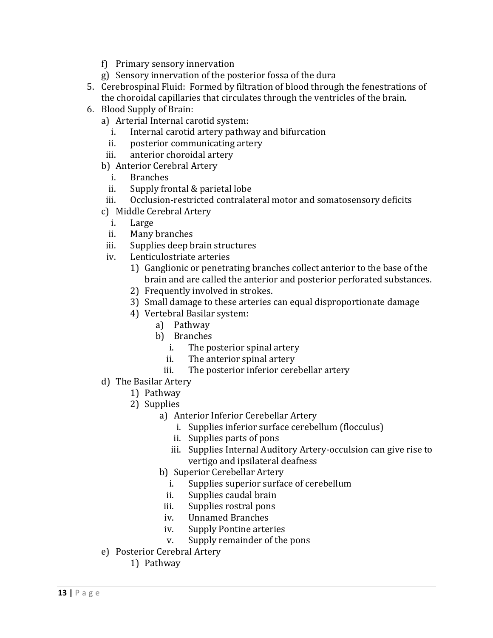- f) Primary sensory innervation
- g) Sensory innervation of the posterior fossa of the dura
- 5. Cerebrospinal Fluid: Formed by filtration of blood through the fenestrations of the choroidal capillaries that circulates through the ventricles of the brain.
- 6. Blood Supply of Brain:
	- a) Arterial Internal carotid system:
		- i. Internal carotid artery pathway and bifurcation
		- ii. posterior communicating artery
	- iii. anterior choroidal artery
	- b) Anterior Cerebral Artery
		- i. Branches
		- ii. Supply frontal & parietal lobe
	- iii. Occlusion-restricted contralateral motor and somatosensory deficits
	- c) Middle Cerebral Artery
		- i. Large
		- ii. Many branches
	- iii. Supplies deep brain structures
	- iv. Lenticulostriate arteries
		- 1) Ganglionic or penetrating branches collect anterior to the base of the brain and are called the anterior and posterior perforated substances.
		- 2) Frequently involved in strokes.
		- 3) Small damage to these arteries can equal disproportionate damage
		- 4) Vertebral Basilar system:
			- a) Pathway
			- b) Branches
				- i. The posterior spinal artery
				- ii. The anterior spinal artery
				- iii. The posterior inferior cerebellar artery
	- d) The Basilar Artery
		- 1) Pathway
			- 2) Supplies
				- a) Anterior Inferior Cerebellar Artery
					- i. Supplies inferior surface cerebellum (flocculus)
					- ii. Supplies parts of pons
					- iii. Supplies Internal Auditory Artery-occulsion can give rise to vertigo and ipsilateral deafness
				- b) Superior Cerebellar Artery
					- i. Supplies superior surface of cerebellum
					- ii. Supplies caudal brain
					- iii. Supplies rostral pons
					- iv. Unnamed Branches
					- iv. Supply Pontine arteries
					- v. Supply remainder of the pons
	- e) Posterior Cerebral Artery
		- 1) Pathway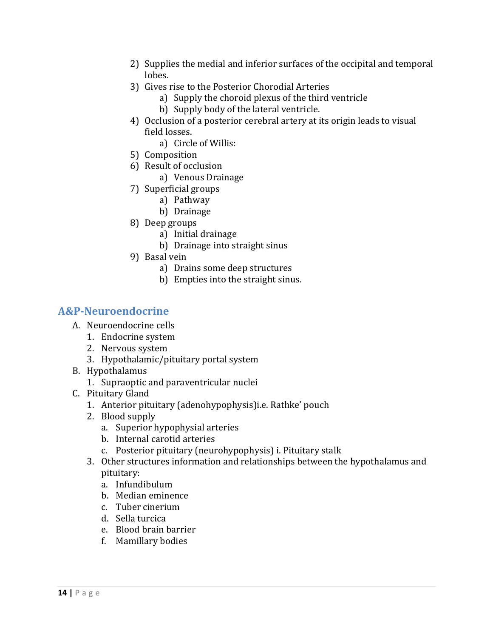- 2) Supplies the medial and inferior surfaces of the occipital and temporal lobes.
- 3) Gives rise to the Posterior Chorodial Arteries
	- a) Supply the choroid plexus of the third ventricle
	- b) Supply body of the lateral ventricle.
- 4) Occlusion of a posterior cerebral artery at its origin leads to visual field losses.
	- a) Circle of Willis:
- 5) Composition
- 6) Result of occlusion
	- a) Venous Drainage
- 7) Superficial groups
	- a) Pathway
	- b) Drainage
- 8) Deep groups
	- a) Initial drainage
	- b) Drainage into straight sinus
- 9) Basal vein
	- a) Drains some deep structures
	- b) Empties into the straight sinus.

# **A&P‐Neuroendocrine**

- A. Neuroendocrine cells
	- 1. Endocrine system
	- 2. Nervous system
	- 3. Hypothalamic/pituitary portal system
- B. Hypothalamus
	- 1. Supraoptic and paraventricular nuclei
- C. Pituitary Gland
	- 1. Anterior pituitary (adenohypophysis)i.e. Rathke' pouch
	- 2. Blood supply
		- a. Superior hypophysial arteries
		- b. Internal carotid arteries
		- c. Posterior pituitary (neurohypophysis) i. Pituitary stalk
	- 3. Other structures information and relationships between the hypothalamus and pituitary:
		- a. Infundibulum
		- b. Median eminence
		- c. Tuber cinerium
		- d. Sella turcica
		- e. Blood brain barrier
		- f. Mamillary bodies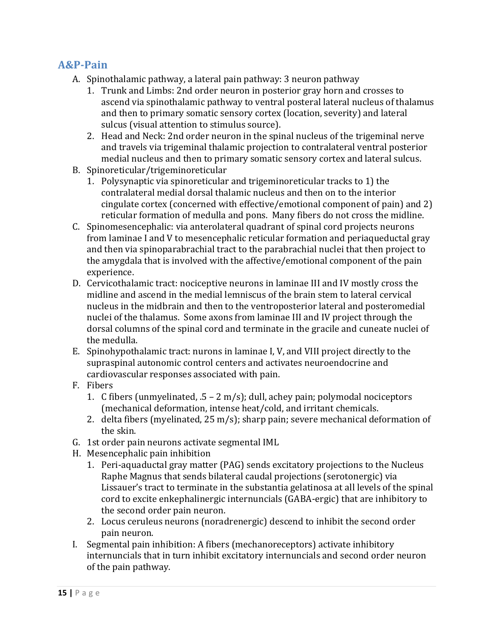#### **A&P‐Pain**

- A. Spinothalamic pathway, a lateral pain pathway: 3 neuron pathway
	- 1. Trunk and Limbs: 2nd order neuron in posterior gray horn and crosses to ascend via spinothalamic pathway to ventral posteral lateral nucleus of thalamus and then to primary somatic sensory cortex (location, severity) and lateral sulcus (visual attention to stimulus source).
	- 2. Head and Neck: 2nd order neuron in the spinal nucleus of the trigeminal nerve and travels via trigeminal thalamic projection to contralateral ventral posterior medial nucleus and then to primary somatic sensory cortex and lateral sulcus.
- B. Spinoreticular/trigeminoreticular
	- 1. Polysynaptic via spinoreticular and trigeminoreticular tracks to 1) the contralateral medial dorsal thalamic nucleus and then on to the interior cingulate cortex (concerned with effective/emotional component of pain) and 2) reticular formation of medulla and pons. Many fibers do not cross the midline.
- C. Spinomesencephalic: via anterolateral quadrant of spinal cord projects neurons from laminae I and V to mesencephalic reticular formation and periaqueductal gray and then via spinoparabrachial tract to the parabrachial nuclei that then project to the amygdala that is involved with the affective/emotional component of the pain experience.
- D. Cervicothalamic tract: nociceptive neurons in laminae III and IV mostly cross the midline and ascend in the medial lemniscus of the brain stem to lateral cervical nucleus in the midbrain and then to the ventroposterior lateral and posteromedial nuclei of the thalamus. Some axons from laminae III and IV project through the dorsal columns of the spinal cord and terminate in the gracile and cuneate nuclei of the medulla.
- E. Spinohypothalamic tract: nurons in laminae I, V, and VIII project directly to the supraspinal autonomic control centers and activates neuroendocrine and cardiovascular responses associated with pain.
- F. Fibers
	- 1. C fibers (unmyelinated,  $.5 2$  m/s); dull, achey pain; polymodal nociceptors (mechanical deformation, intense heat/cold, and irritant chemicals.
	- 2. delta fibers (myelinated,  $25 \text{ m/s}$ ); sharp pain; severe mechanical deformation of the skin.
- G. 1st order pain neurons activate segmental IML
- H. Mesencephalic pain inhibition
	- 1. Peri-aquaductal gray matter (PAG) sends excitatory projections to the Nucleus Raphe Magnus that sends bilateral caudal projections (serotonergic) via Lissauer's tract to terminate in the substantia gelatinosa at all levels of the spinal cord to excite enkephalinergic internuncials (GABA-ergic) that are inhibitory to the second order pain neuron.
	- 2. Locus ceruleus neurons (noradrenergic) descend to inhibit the second order pain neuron.
- I. Segmental pain inhibition: A fibers (mechanoreceptors) activate inhibitory internuncials that in turn inhibit excitatory internuncials and second order neuron of the pain pathway.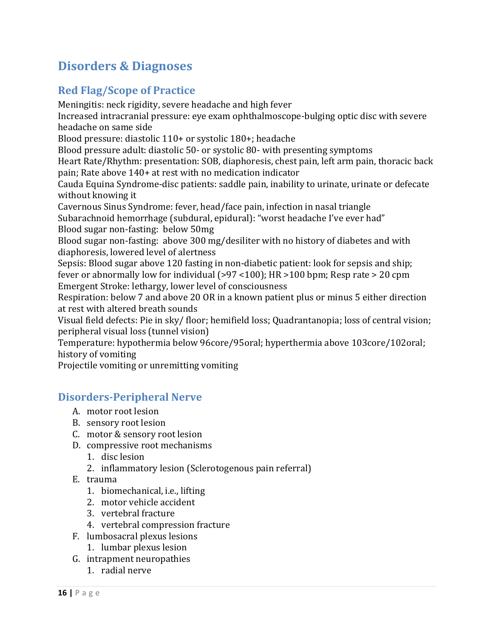# **Disorders & Diagnoses**

# **Red Flag/Scope of Practice**

Meningitis: neck rigidity, severe headache and high fever Increased intracranial pressure: eye exam ophthalmoscope-bulging optic disc with severe headache on same side Blood pressure: diastolic  $110+$  or systolic  $180+$ ; headache Blood pressure adult: diastolic 50- or systolic 80- with presenting symptoms Heart Rate/Rhythm: presentation: SOB, diaphoresis, chest pain, left arm pain, thoracic back pain; Rate above 140+ at rest with no medication indicator Cauda Equina Syndrome-disc patients: saddle pain, inability to urinate, urinate or defecate without knowing it Cavernous Sinus Syndrome: fever, head/face pain, infection in nasal triangle Subarachnoid hemorrhage (subdural, epidural): "worst headache I've ever had" Blood sugar non-fasting: below 50mg Blood sugar non-fasting: above  $300 \text{ mg/d}$ esiliter with no history of diabetes and with diaphoresis, lowered level of alertness Sepsis: Blood sugar above 120 fasting in non-diabetic patient: look for sepsis and ship; fever or abnormally low for individual  $(>97 \times 100)$ ; HR $>100$  bpm; Resp rate  $> 20$  cpm Emergent Stroke: lethargy, lower level of consciousness Respiration: below 7 and above 20 OR in a known patient plus or minus 5 either direction at rest with altered breath sounds Visual field defects: Pie in sky/ floor; hemifield loss; Quadrantanopia; loss of central vision; peripheral visual loss (tunnel vision) Temperature: hypothermia below 96core/95oral; hyperthermia above 103core/102oral; history of vomiting Projectile vomiting or unremitting vomiting

### **Disorders‐Peripheral Nerve**

- A. motor root lesion
- B. sensory root lesion
- C. motor & sensory root lesion
- D. compressive root mechanisms
	- 1. disc lesion
	- 2. inflammatory lesion (Sclerotogenous pain referral)
- E. trauma
	- 1. biomechanical, *i.e.*, lifting
	- 2. motor vehicle accident
	- 3. vertebral fracture
	- 4. vertebral compression fracture
- F. lumbosacral plexus lesions
	- 1. lumbar plexus lesion
- G. intrapment neuropathies
	- 1. radial nerve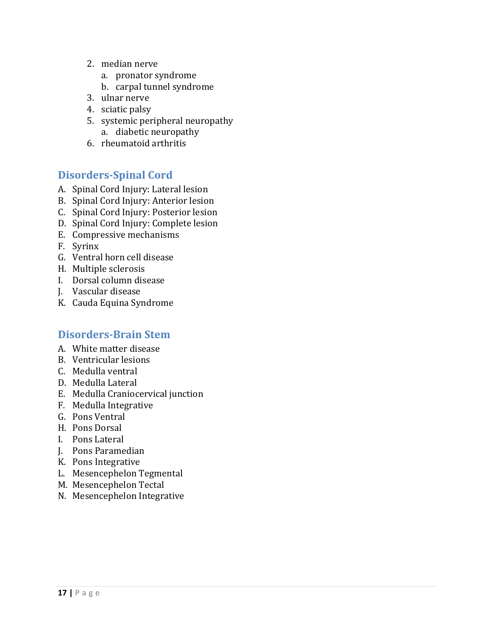- 2. median nerve
	- a. pronator syndrome
	- b. carpal tunnel syndrome
- 3. ulnar nerve
- 4. sciatic palsy
- 5. systemic peripheral neuropathy a. diabetic neuropathy
- 6. rheumatoid arthritis

### **Disorders‐Spinal Cord**

- A. Spinal Cord Injury: Lateral lesion
- B. Spinal Cord Injury: Anterior lesion
- C. Spinal Cord Injury: Posterior lesion
- D. Spinal Cord Injury: Complete lesion
- E. Compressive mechanisms
- F. Syrinx
- G. Ventral horn cell disease
- H. Multiple sclerosis
- I. Dorsal column disease
- J. Vascular disease
- K. Cauda Equina Syndrome

#### **Disorders‐Brain Stem**

- A. White matter disease
- B. Ventricular lesions
- C. Medulla ventral
- D. Medulla Lateral
- E. Medulla Craniocervical junction
- F. Medulla Integrative
- G. Pons Ventral
- H. Pons Dorsal
- I. Pons Lateral
- J. Pons Paramedian
- K. Pons Integrative
- L. Mesencephelon Tegmental
- M. Mesencephelon Tectal
- N. Mesencephelon Integrative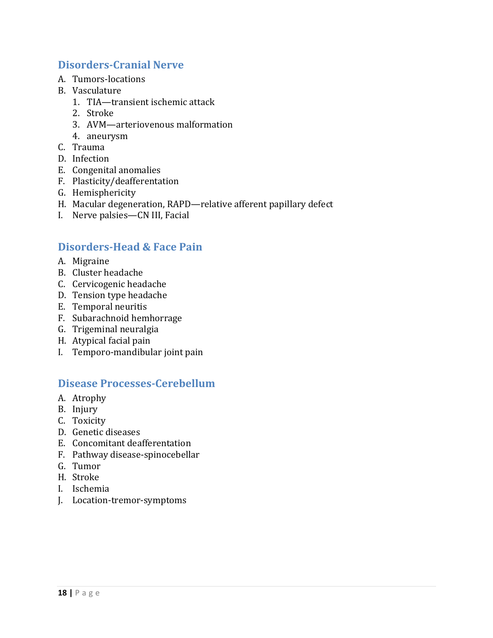## **Disorders‐Cranial Nerve**

- A. Tumors‐locations
- B. Vasculature
	- 1. TIA—transient ischemic attack
	- 2. Stroke
	- 3. AVM-arteriovenous malformation
	- 4. aneurysm
- C. Trauma
- D. Infection
- E. Congenital anomalies
- F. Plasticity/deafferentation
- G. Hemisphericity
- H. Macular degeneration, RAPD—relative afferent papillary defect
- I. Nerve palsies—CN III, Facial

# **Disorders‐Head & Face Pain**

- A. Migraine
- B. Cluster headache
- C. Cervicogenic headache
- D. Tension type headache
- E. Temporal neuritis
- F. Subarachnoid hemhorrage
- G. Trigeminal neuralgia
- H. Atypical facial pain
- I. Temporo-mandibular joint pain

#### **Disease Processes‐Cerebellum**

- A. Atrophy
- B. Injury
- C. Toxicity
- D. Genetic diseases
- E. Concomitant deafferentation
- F. Pathway disease-spinocebellar
- G. Tumor
- H. Stroke
- I. Ischemia
- J. Location‐tremor‐symptoms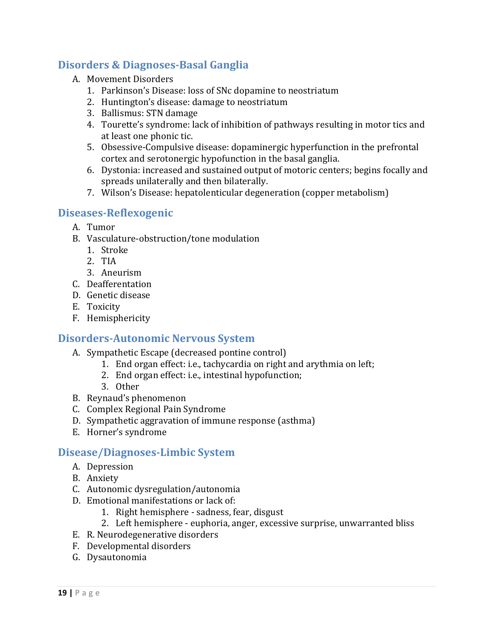# **Disorders & Diagnoses‐Basal Ganglia**

- A. Movement Disorders
	- 1. Parkinson's Disease: loss of SNc dopamine to neostriatum
	- 2. Huntington's disease: damage to neostriatum
	- 3. Ballismus: STN damage
	- 4. Tourette's syndrome: lack of inhibition of pathways resulting in motor tics and at least one phonic tic.
	- 5. Obsessive-Compulsive disease: dopaminergic hyperfunction in the prefrontal cortex and serotonergic hypofunction in the basal ganglia.
	- 6. Dystonia: increased and sustained output of motoric centers; begins focally and spreads unilaterally and then bilaterally.
	- 7. Wilson's Disease: hepatolenticular degeneration (copper metabolism)

# **Diseases‐Reflexogenic**

- A. Tumor
- B. Vasculature-obstruction/tone modulation
	- 1. Stroke
	- 2. TIA
	- 3. Aneurism
- C. Deafferentation
- D. Genetic disease
- E. Toxicity
- F. Hemisphericity

## **Disorders‐Autonomic Nervous System**

- A. Sympathetic Escape (decreased pontine control)
	- 1. End organ effect: i.e., tachycardia on right and arythmia on left;
	- 2. End organ effect: i.e., intestinal hypofunction;
	- 3. Other
- B. Reynaud's phenomenon
- C. Complex Regional Pain Syndrome
- D. Sympathetic aggravation of immune response (asthma)
- E. Horner's syndrome

### **Disease/Diagnoses‐Limbic System**

- A. Depression
- B. Anxiety
- C. Autonomic dysregulation/autonomia
- D. Emotional manifestations or lack of:
	- 1. Right hemisphere sadness, fear, disgust
	- 2. Left hemisphere euphoria, anger, excessive surprise, unwarranted bliss
- E. R. Neurodegenerative disorders
- F. Developmental disorders
- G. Dysautonomia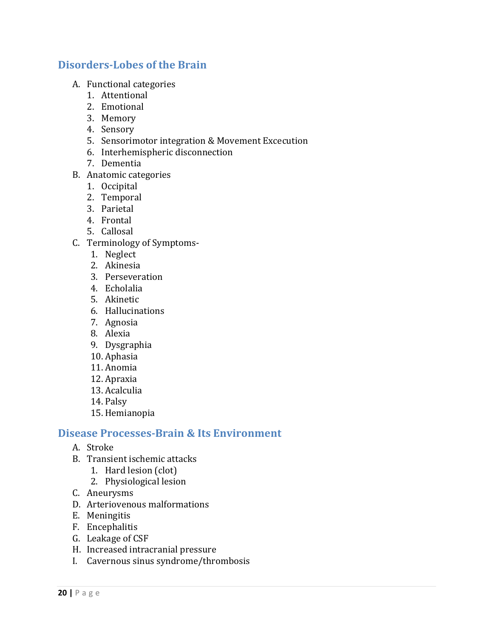#### **Disorders‐Lobes of the Brain**

- A. Functional categories
	- 1. Attentional
	- 2. Emotional
	- 3. Memory
	- 4. Sensory
	- 5. Sensorimotor integration & Movement Excecution
	- 6. Interhemispheric disconnection
	- 7. Dementia
- B. Anatomic categories
	- 1. Occipital
	- 2. Temporal
	- 3. Parietal
	- 4. Frontal
	- 5. Callosal
- C. Terminology of Symptoms-
	- 1. Neglect
	- 2. Akinesia
	- 3. Perseveration
	- 4. Echolalia
	- 5. Akinetic
	- 6. Hallucinations
	- 7. Agnosia
	- 8. Alexia
	- 9. Dysgraphia
	- 10. Aphasia
	- 11. Anomia
	- 12. Apraxia
	- 13. Acalculia
	- 14. Palsy
	- 15. Hemianopia

#### **Disease Processes‐Brain & Its Environment**

- A. Stroke
- B. Transient ischemic attacks
	- 1. Hard lesion (clot)
	- 2. Physiological lesion
- C. Aneurysms
- D. Arteriovenous malformations
- E. Meningitis
- F. Encephalitis
- G. Leakage of CSF
- H. Increased intracranial pressure
- I. Cavernous sinus syndrome/thrombosis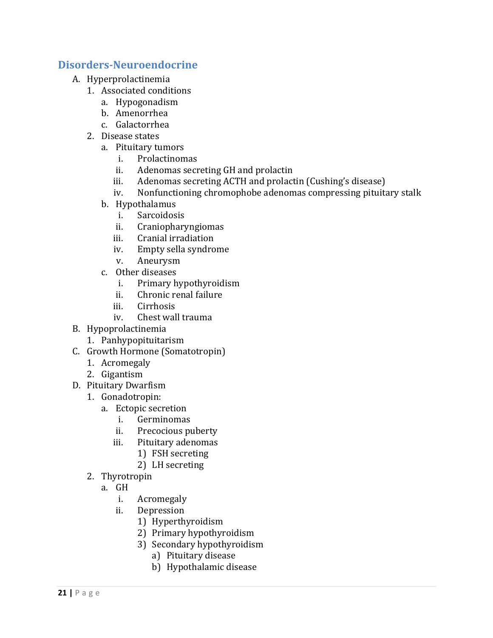#### **Disorders‐Neuroendocrine**

- A. Hyperprolactinemia
	- 1. Associated conditions
		- a. Hypogonadism
		- b. Amenorrhea
		- c. Galactorrhea
	- 2. Disease states
		- a. Pituitary tumors
			- i. Prolactinomas
			- ii. Adenomas secreting GH and prolactin
			- iii. Adenomas secreting ACTH and prolactin (Cushing's disease)
			- iv. Nonfunctioning chromophobe adenomas compressing pituitary stalk
		- b. Hypothalamus
			- i. Sarcoidosis
			- ii. Craniopharyngiomas
			- iii. Cranial irradiation
			- iv. Empty sella syndrome
			- v. Aneurysm
		- c. Other diseases
			- i. Primary hypothyroidism
			- ii. Chronic renal failure
			- iii. Cirrhosis
			- iv. Chest wall trauma
- B. Hypoprolactinemia
	- 1. Panhypopituitarism
- C. Growth Hormone (Somatotropin)
	- 1. Acromegaly
	- 2. Gigantism
- D. Pituitary Dwarfism
	- 1. Gonadotropin:
		- a. Ectopic secretion
			- i. Germinomas
			- ii. Precocious puberty
			- iii. Pituitary adenomas
				- 1) FSH secreting
				- 2) LH secreting
	- 2. Thyrotropin
		- a. GH
			- i. Acromegaly
			- ii. Depression
				- 1) Hyperthyroidism
				- 2) Primary hypothyroidism
				- 3) Secondary hypothyroidism
					- a) Pituitary disease
					- b) Hypothalamic disease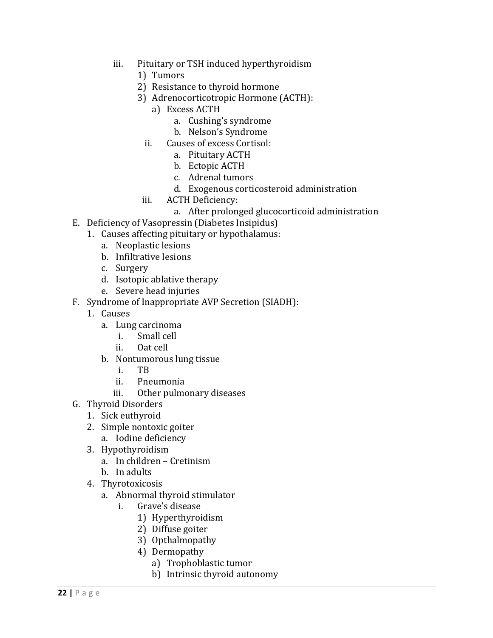- iii. Pituitary or TSH induced hyperthyroidism
	- 1) Tumors
	- 2) Resistance to thyroid hormone
	- 3) Adrenocorticotropic Hormone (ACTH):
		- a) Excess ACTH
			- a. Cushing's syndrome
			- b. Nelson's Syndrome
		- ii. Causes of excess Cortisol:
			- a. Pituitary ACTH
			- b. Ectopic ACTH
			- c. Adrenal tumors
			- d. Exogenous corticosteroid administration
	- iii. ACTH Deficiency:
		- a. After prolonged glucocorticoid administration
- E. Deficiency of Vasopressin (Diabetes Insipidus)
	- 1. Causes affecting pituitary or hypothalamus:
		- a. Neoplastic lesions
		- b. Infiltrative lesions
		- c. Surgery
		- d. Isotopic ablative therapy
		- e. Severe head injuries
- F. Syndrome of Inappropriate AVP Secretion (SIADH):
	- 1. Causes
		- a. Lung carcinoma
			- i. Small cell
			- ii. Oat cell
		- b. Nontumorous lung tissue
			- i. TB
			- ii. Pneumonia
			- iii. Other pulmonary diseases
- G. Thyroid Disorders
	- 1. Sick euthyroid
	- 2. Simple nontoxic goiter
		- a. Iodine deficiency
	- 3. Hypothyroidism
		- a. In children Cretinism
		- b. In adults
	- 4. Thyrotoxicosis
		- a. Abnormal thyroid stimulator
			- i. Grave's disease
				- 1) Hyperthyroidism
				- 2) Diffuse goiter
				- 3) Opthalmopathy
				- 4) Dermopathy
					- a) Trophoblastic tumor
					- b) Intrinsic thyroid autonomy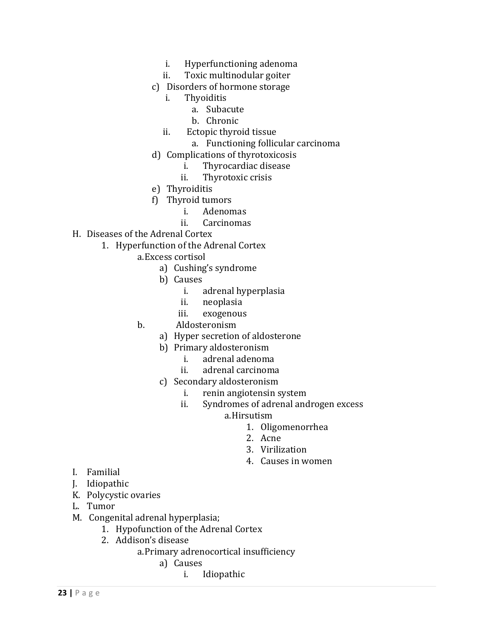- i. Hyperfunctioning adenoma
- ii. Toxic multinodular goiter
- c) Disorders of hormone storage
	- i. Thyoiditis
		- a. Subacute
		- b. Chronic
	- ii. Ectopic thyroid tissue
		- a. Functioning follicular carcinoma
- d) Complications of thyrotoxicosis
	- i. Thyrocardiac disease
	- ii. Thyrotoxic crisis
- e) Thyroiditis
- f) Thyroid tumors
	- i. Adenomas
	- ii. Carcinomas
- H. Diseases of the Adrenal Cortex
	- 1. Hyperfunction of the Adrenal Cortex
		- a.Excess cortisol
			- a) Cushing's syndrome
			- b) Causes
				- i. adrenal hyperplasia
				- ii. neoplasia
				- iii. exogenous
		- b. Aldosteronism
			- a) Hyper secretion of aldosterone
			- b) Primary aldosteronism
				- i. adrenal adenoma
				- ii. adrenal carcinoma
			- c) Secondary aldosteronism
				- i. renin angiotensin system
				- ii. Syndromes of adrenal androgen excess
					- a.Hirsutism
						- 1. Oligomenorrhea
						- 2. Acne
						- 3. Virilization
						- 4. Causes in women

- I. Familial
- J. Idiopathic
- K. Polycystic ovaries
- L. Tumor
- M. Congenital adrenal hyperplasia;
	- 1. Hypofunction of the Adrenal Cortex
	- 2. Addison's disease
		- a.Primary adrenocortical insufficiency
			- a) Causes
				- i. Idiopathic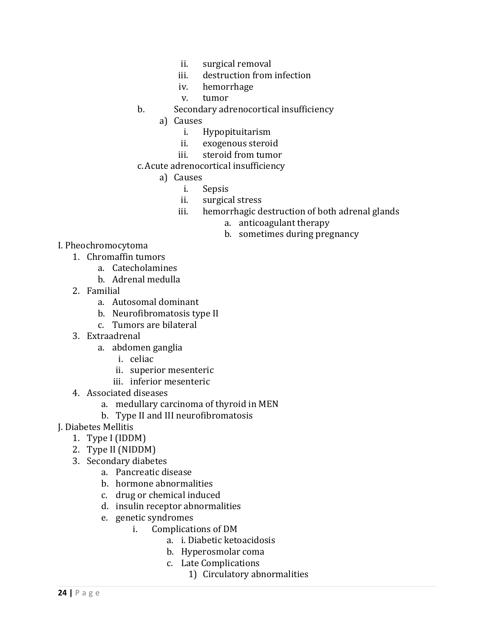- ii. surgical removal
- iii. destruction from infection
- iv. hemorrhage
- v. tumor
- b. Secondary adrenocortical insufficiency
	- a) Causes
		- i. Hypopituitarism
		- ii. exogenous steroid
		- iii. steroid from tumor
- c. Acute adrenocortical insufficiency
	- a) Causes
		- i. Sepsis
		- ii. surgical stress
		- iii. hemorrhagic destruction of both adrenal glands
			- a. anticoagulant therapy
			- b. sometimes during pregnancy

#### I. Pheochromocytoma

- 1. Chromaffin tumors
	- a. Catecholamines
	- b. Adrenal medulla
- 2. Familial
	- a. Autosomal dominant
	- b. Neurofibromatosis type II
	- c. Tumors are bilateral
- 3. Extraadrenal
	- a. abdomen ganglia
		- i. celiac
		- ii. superior mesenteric
		- iii. inferior mesenteric
- 4. Associated diseases
	- a. medullary carcinoma of thyroid in MEN
	- b. Type II and III neurofibromatosis
- J. Diabetes Mellitis
	- 1. Type I (IDDM)
	- 2. Type II (NIDDM)
	- 3. Secondary diabetes
		- a. Pancreatic disease
		- b. hormone abnormalities
		- c. drug or chemical induced
		- d. insulin receptor abnormalities
		- e. genetic syndromes
			- i. Complications of DM
				- a. i. Diabetic ketoacidosis
				- b. Hyperosmolar coma
				- c. Late Complications
					- 1) Circulatory abnormalities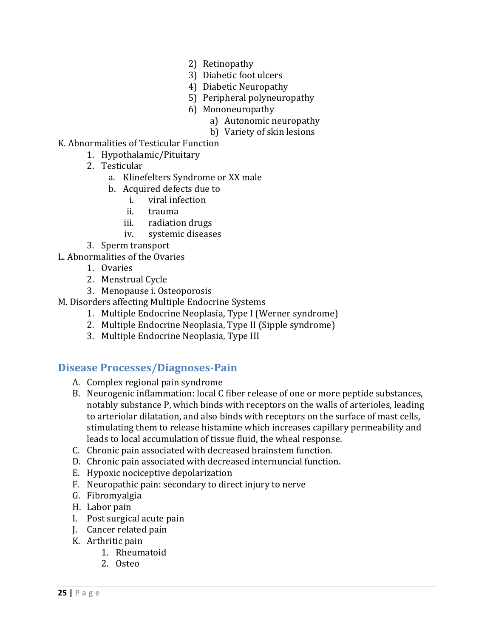- 2) Retinopathy
- 3) Diabetic foot ulcers
- 4) Diabetic Neuropathy
- 5) Peripheral polyneuropathy
- 6) Mononeuropathy
	- a) Autonomic neuropathy
	- b) Variety of skin lesions
- K. Abnormalities of Testicular Function
	- 1. Hypothalamic/Pituitary
	- 2. Testicular
		- a. Klinefelters Syndrome or XX male
		- b. Acquired defects due to
			- i. viral infection
			- ii. trauma
			- iii. radiation drugs
			- iv. systemic diseases
	- 3. Sperm transport
- L. Abnormalities of the Ovaries
	- 1. Ovaries
	- 2. Menstrual Cycle
	- 3. Menopause i. Osteoporosis
- M. Disorders affecting Multiple Endocrine Systems
	- 1. Multiple Endocrine Neoplasia, Type I (Werner syndrome)
	- 2. Multiple Endocrine Neoplasia, Type II (Sipple syndrome)
	- 3. Multiple Endocrine Neoplasia, Type III

#### **Disease Processes/Diagnoses‐Pain**

- A. Complex regional pain syndrome
- B. Neurogenic inflammation: local C fiber release of one or more peptide substances, notably substance P, which binds with receptors on the walls of arterioles, leading to arteriolar dilatation, and also binds with receptors on the surface of mast cells, stimulating them to release histamine which increases capillary permeability and leads to local accumulation of tissue fluid, the wheal response.
- C. Chronic pain associated with decreased brainstem function.
- D. Chronic pain associated with decreased internuncial function.
- E. Hypoxic nociceptive depolarization
- F. Neuropathic pain: secondary to direct injury to nerve
- G. Fibromyalgia
- H. Labor pain
- I. Post surgical acute pain
- J. Cancer related pain
- K. Arthritic pain
	- 1. Rheumatoid
	- 2. Osteo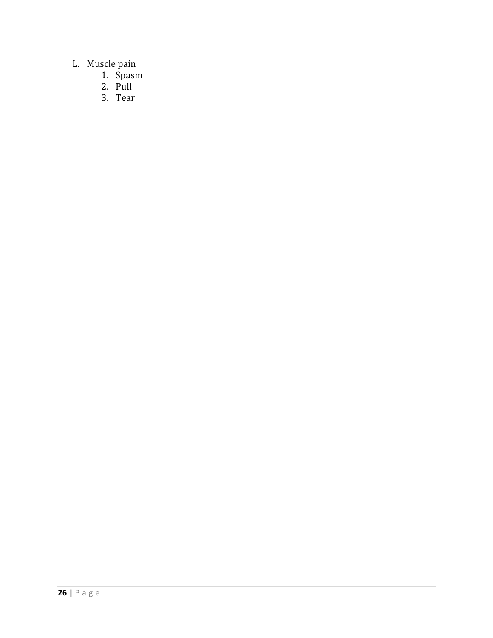#### L. Muscle pain

- 1. Spasm
- 2. Pull
- 3. Tear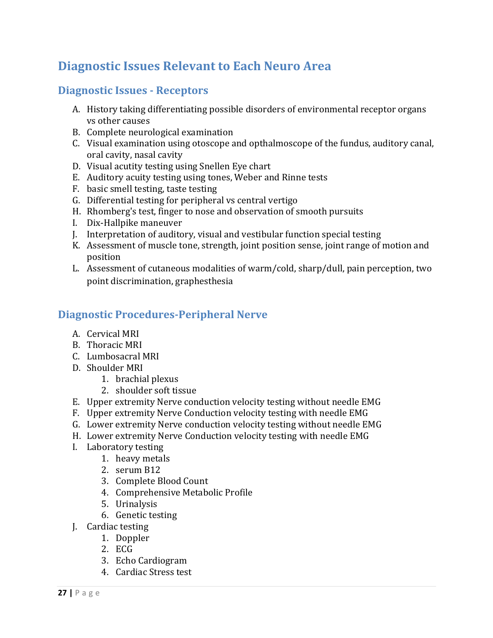# **Diagnostic Issues Relevant to Each Neuro Area**

# **Diagnostic Issues - Receptors**

- A. History taking differentiating possible disorders of environmental receptor organs vs other causes
- B. Complete neurological examination
- C. Visual examination using otoscope and opthalmoscope of the fundus, auditory canal, oral cavity, nasal cavity
- D. Visual acutity testing using Snellen Eye chart
- E. Auditory acuity testing using tones, Weber and Rinne tests
- F. basic smell testing, taste testing
- G. Differential testing for peripheral vs central vertigo
- H. Rhomberg's test, finger to nose and observation of smooth pursuits
- I. Dix-Hallpike maneuver
- J. Interpretation of auditory, visual and vestibular function special testing
- K. Assessment of muscle tone, strength, joint position sense, joint range of motion and position
- L. Assessment of cutaneous modalities of warm/cold, sharp/dull, pain perception, two point discrimination, graphesthesia

# **Diagnostic Procedures‐Peripheral Nerve**

- A. Cervical MRI
- B. Thoracic MRI
- C. Lumbosacral MRI
- D. Shoulder MRI
	- 1. brachial plexus
	- 2. shoulder soft tissue
- E. Upper extremity Nerve conduction velocity testing without needle EMG
- F. Upper extremity Nerve Conduction velocity testing with needle EMG
- G. Lower extremity Nerve conduction velocity testing without needle EMG
- H. Lower extremity Nerve Conduction velocity testing with needle EMG
- I. Laboratory testing
	- 1. heavy metals
	- 2. serum B12
	- 3. Complete Blood Count
	- 4. Comprehensive Metabolic Profile
	- 5. Urinalysis
	- 6. Genetic testing
- J. Cardiac testing
	- 1. Doppler
	- 2. ECG
	- 3. Echo Cardiogram
	- 4. Cardiac Stress test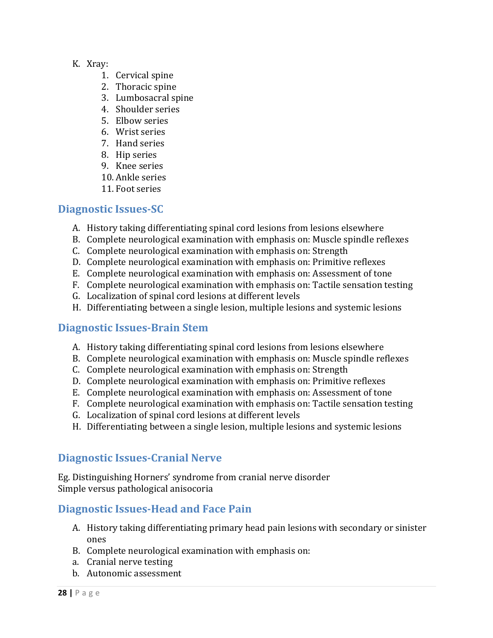- K. Xray:
	- 1. Cervical spine
	- 2. Thoracic spine
	- 3. Lumbosacral spine
	- 4. Shoulder series
	- 5. Elbow series
	- 6. Wrist series
	- 7. Hand series
	- 8. Hip series
	- 9. Knee series
	- 10. Ankle series
	- 11. Foot series

#### **Diagnostic Issues‐SC**

- A. History taking differentiating spinal cord lesions from lesions elsewhere
- B. Complete neurological examination with emphasis on: Muscle spindle reflexes
- C. Complete neurological examination with emphasis on: Strength
- D. Complete neurological examination with emphasis on: Primitive reflexes
- E. Complete neurological examination with emphasis on: Assessment of tone
- F. Complete neurological examination with emphasis on: Tactile sensation testing
- G. Localization of spinal cord lesions at different levels
- H. Differentiating between a single lesion, multiple lesions and systemic lesions

### **Diagnostic Issues‐Brain Stem**

- A. History taking differentiating spinal cord lesions from lesions elsewhere
- B. Complete neurological examination with emphasis on: Muscle spindle reflexes
- C. Complete neurological examination with emphasis on: Strength
- D. Complete neurological examination with emphasis on: Primitive reflexes
- E. Complete neurological examination with emphasis on: Assessment of tone
- F. Complete neurological examination with emphasis on: Tactile sensation testing
- G. Localization of spinal cord lesions at different levels
- H. Differentiating between a single lesion, multiple lesions and systemic lesions

# **Diagnostic Issues‐Cranial Nerve**

Eg. Distinguishing Horners' syndrome from cranial nerve disorder Simple versus pathological anisocoria

### **Diagnostic Issues‐Head and Face Pain**

- A. History taking differentiating primary head pain lesions with secondary or sinister ones
- B. Complete neurological examination with emphasis on:
- a. Cranial nerve testing
- b. Autonomic assessment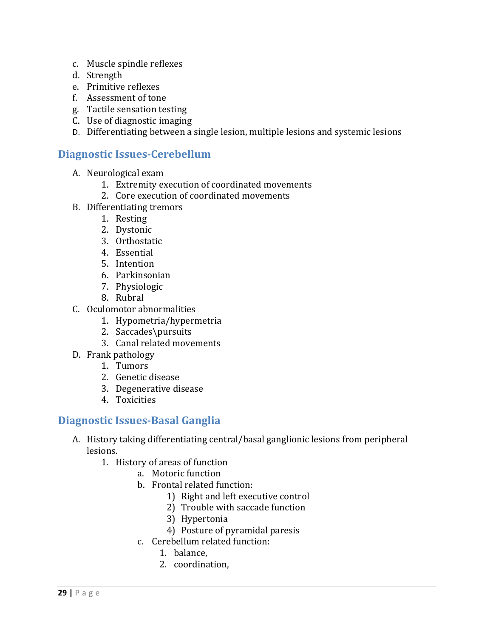- c. Muscle spindle reflexes
- d. Strength
- e. Primitive reflexes
- f. Assessment of tone
- g. Tactile sensation testing
- C. Use of diagnostic imaging
- D. Differentiating between a single lesion, multiple lesions and systemic lesions

## **Diagnostic Issues‐Cerebellum**

- A. Neurological exam
	- 1. Extremity execution of coordinated movements
	- 2. Core execution of coordinated movements
- B. Differentiating tremors
	- 1. Resting
	- 2. Dystonic
	- 3. Orthostatic
	- 4. Essential
	- 5. Intention
	- 6. Parkinsonian
	- 7. Physiologic
	- 8. Rubral
- C. Oculomotor abnormalities
	- 1. Hypometria/hypermetria
	- 2. Saccades\pursuits
	- 3. Canal related movements
- D. Frank pathology
	- 1. Tumors
	- 2. Genetic disease
	- 3. Degenerative disease
	- 4. Toxicities

### **Diagnostic Issues‐Basal Ganglia**

- A. History taking differentiating central/basal ganglionic lesions from peripheral lesions.
	- 1. History of areas of function
		- a. Motoric function
		- b. Frontal related function:
			- 1) Right and left executive control
			- 2) Trouble with saccade function
			- 3) Hypertonia
			- 4) Posture of pyramidal paresis
		- c. Cerebellum related function:
			- 1. balance,
			- 2. coordination,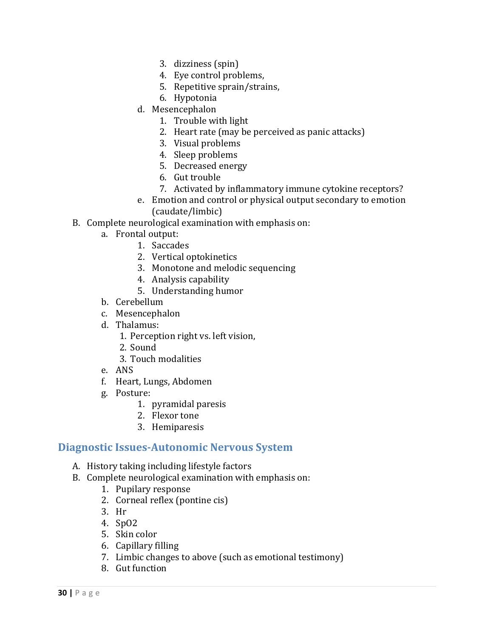- 3. dizziness (spin)
- 4. Eye control problems,
- 5. Repetitive sprain/strains,
- 6. Hypotonia
- d. Mesencephalon
	- 1. Trouble with light
	- 2. Heart rate (may be perceived as panic attacks)
	- 3. Visual problems
	- 4. Sleep problems
	- 5. Decreased energy
	- 6. Gut trouble
	- 7. Activated by inflammatory immune cytokine receptors?
- e. Emotion and control or physical output secondary to emotion (caudate/limbic)
- B. Complete neurological examination with emphasis on:
	- a. Frontal output:
		- 1. Saccades
		- 2. Vertical optokinetics
		- 3. Monotone and melodic sequencing
		- 4. Analysis capability
		- 5. Understanding humor
	- b. Cerebellum
	- c. Mesencephalon
	- d. Thalamus:
		- 1. Perception right vs. left vision,
		- 2. Sound
		- 3. Touch modalities
	- e. ANS
	- f. Heart, Lungs, Abdomen
	- g. Posture:
		- 1. pyramidal paresis
		- 2. Flexor tone
		- 3. Hemiparesis

#### **Diagnostic Issues‐Autonomic Nervous System**

- A. History taking including lifestyle factors
- B. Complete neurological examination with emphasis on:
	- 1. Pupilary response
	- 2. Corneal reflex (pontine cis)
	- 3. Hr
	- 4. SpO2
	- 5. Skin color
	- 6. Capillary filling
	- 7. Limbic changes to above (such as emotional testimony)
	- 8. Gut function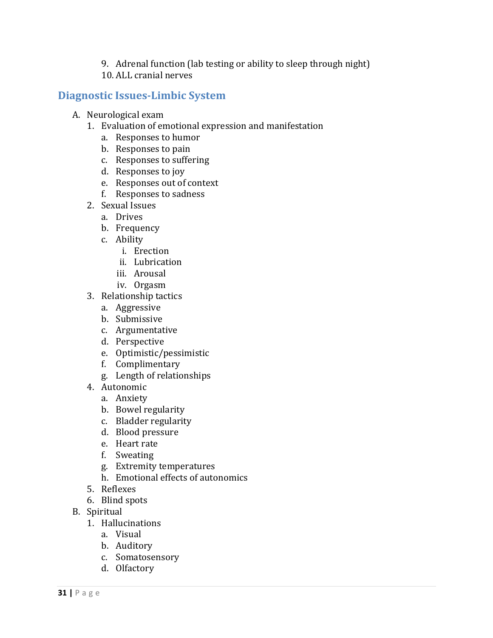- 9. Adrenal function (lab testing or ability to sleep through night)
- 10. ALL cranial nerves

#### **Diagnostic Issues‐Limbic System**

- A. Neurological exam
	- 1. Evaluation of emotional expression and manifestation
		- a. Responses to humor
		- b. Responses to pain
		- c. Responses to suffering
		- d. Responses to joy
		- e. Responses out of context
		- f. Responses to sadness
	- 2. Sexual Issues
		- a. Drives
		- b. Frequency
		- c. Ability
			- i. Erection
			- ii. Lubrication
			- iii. Arousal
			- iv. Orgasm
	- 3. Relationship tactics
		- a. Aggressive
		- b. Submissive
		- c. Argumentative
		- d. Perspective
		- e. Optimistic/pessimistic
		- f. Complimentary
		- g. Length of relationships
	- 4. Autonomic
		- a. Anxiety
		- b. Bowel regularity
		- c. Bladder regularity
		- d. Blood pressure
		- e. Heart rate
		- f. Sweating
		- g. Extremity temperatures
		- h. Emotional effects of autonomics
	- 5. Reflexes
	- 6. Blind spots
- B. Spiritual
	- 1. Hallucinations
		- a. Visual
		- b. Auditory
		- c. Somatosensory
		- d. Olfactory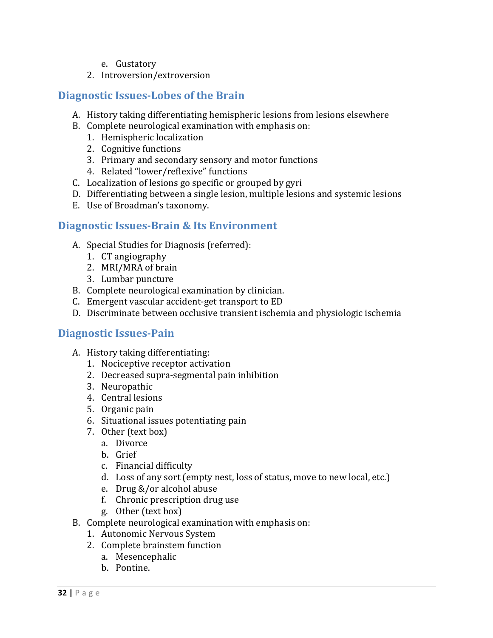- e. Gustatory
- 2. Introversion/extroversion

#### **Diagnostic Issues‐Lobes of the Brain**

- A. History taking differentiating hemispheric lesions from lesions elsewhere
- B. Complete neurological examination with emphasis on:
	- 1. Hemispheric localization
	- 2. Cognitive functions
	- 3. Primary and secondary sensory and motor functions
	- 4. Related "lower/reflexive" functions
- C. Localization of lesions go specific or grouped by gyri
- D. Differentiating between a single lesion, multiple lesions and systemic lesions
- E. Use of Broadman's taxonomy.

#### **Diagnostic Issues‐Brain & Its Environment**

- A. Special Studies for Diagnosis (referred):
	- 1. CT angiography
	- 2. MRI/MRA of brain
	- 3. Lumbar puncture
- B. Complete neurological examination by clinician.
- C. Emergent vascular accident-get transport to ED
- D. Discriminate between occlusive transient ischemia and physiologic ischemia

#### **Diagnostic Issues‐Pain**

- A. History taking differentiating:
	- 1. Nociceptive receptor activation
	- 2. Decreased supra-segmental pain inhibition
	- 3. Neuropathic
	- 4. Central lesions
	- 5. Organic pain
	- 6. Situational issues potentiating pain
	- 7. Other (text box)
		- a. Divorce
		- b. Grief
		- c. Financial difficulty
		- d. Loss of any sort (empty nest, loss of status, move to new local, etc.)
		- e. Drug &/or alcohol abuse
		- f. Chronic prescription drug use
		- g. Other (text box)
- B. Complete neurological examination with emphasis on:
	- 1. Autonomic Nervous System
	- 2. Complete brainstem function
		- a. Mesencephalic
		- b. Pontine.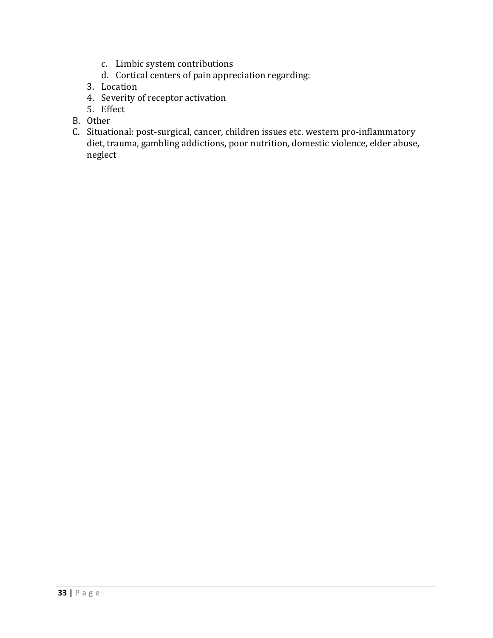- c. Limbic system contributions
- d. Cortical centers of pain appreciation regarding:
- 3. Location
- 4. Severity of receptor activation
- 5. Effect
- B. Other
- C. Situational: post-surgical, cancer, children issues etc. western pro-inflammatory diet, trauma, gambling addictions, poor nutrition, domestic violence, elder abuse, neglect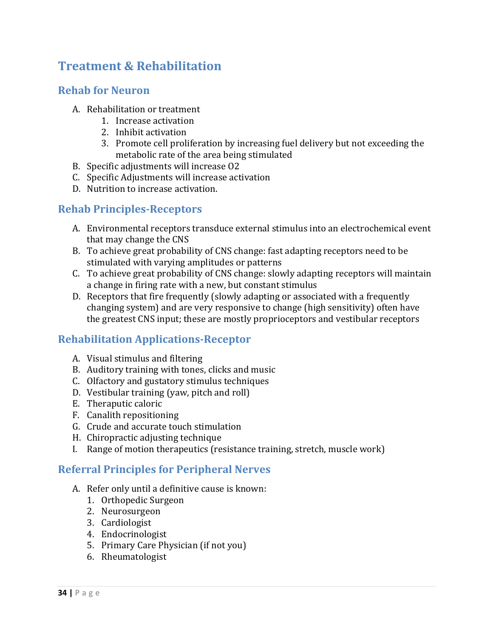# **Treatment & Rehabilitation**

#### **Rehab for Neuron**

- A. Rehabilitation or treatment
	- 1. Increase activation
	- 2. Inhibit activation
	- 3. Promote cell proliferation by increasing fuel delivery but not exceeding the metabolic rate of the area being stimulated
- B. Specific adjustments will increase O2
- C. Specific Adjustments will increase activation
- D. Nutrition to increase activation.

# **Rehab Principles‐Receptors**

- A. Environmental receptors transduce external stimulus into an electrochemical event that may change the CNS
- B. To achieve great probability of CNS change: fast adapting receptors need to be stimulated with varying amplitudes or patterns
- C. To achieve great probability of CNS change: slowly adapting receptors will maintain a change in firing rate with a new, but constant stimulus
- D. Receptors that fire frequently (slowly adapting or associated with a frequently changing system) and are very responsive to change (high sensitivity) often have the greatest CNS input; these are mostly proprioceptors and vestibular receptors

# **Rehabilitation Applications‐Receptor**

- A. Visual stimulus and filtering
- B. Auditory training with tones, clicks and music
- C. Olfactory and gustatory stimulus techniques
- D. Vestibular training (yaw, pitch and roll)
- E. Theraputic caloric
- F. Canalith repositioning
- G. Crude and accurate touch stimulation
- H. Chiropractic adjusting technique
- I. Range of motion therapeutics (resistance training, stretch, muscle work)

### **Referral Principles for Peripheral Nerves**

- A. Refer only until a definitive cause is known:
	- 1. Orthopedic Surgeon
	- 2. Neurosurgeon
	- 3. Cardiologist
	- 4. Endocrinologist
	- 5. Primary Care Physician (if not you)
	- 6. Rheumatologist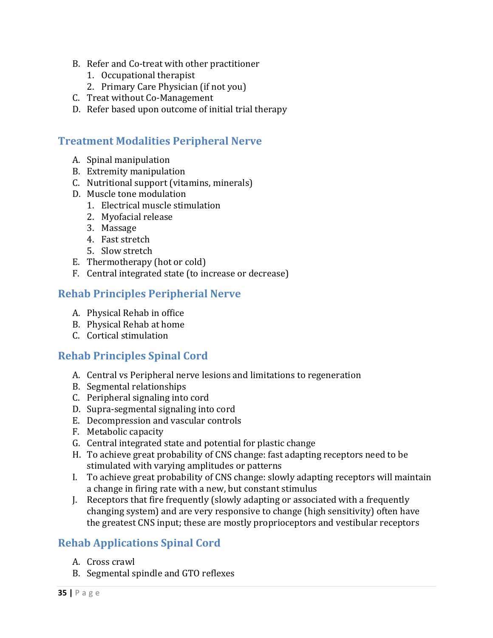- B. Refer and Co-treat with other practitioner
	- 1. Occupational therapist
	- 2. Primary Care Physician (if not you)
- C. Treat without Co-Management
- D. Refer based upon outcome of initial trial therapy

#### **Treatment Modalities Peripheral Nerve**

- A. Spinal manipulation
- B. Extremity manipulation
- C. Nutritional support (vitamins, minerals)
- D. Muscle tone modulation
	- 1. Electrical muscle stimulation
	- 2. Myofacial release
	- 3. Massage
	- 4. Fast stretch
	- 5. Slow stretch
- E. Thermotherapy  $(hot$  or cold)
- F. Central integrated state (to increase or decrease)

#### **Rehab Principles Peripherial Nerve**

- A. Physical Rehab in office
- B. Physical Rehab at home
- C. Cortical stimulation

### **Rehab Principles Spinal Cord**

- A. Central vs Peripheral nerve lesions and limitations to regeneration
- B. Segmental relationships
- C. Peripheral signaling into cord
- D. Supra-segmental signaling into cord
- E. Decompression and vascular controls
- F. Metabolic capacity
- G. Central integrated state and potential for plastic change
- H. To achieve great probability of CNS change: fast adapting receptors need to be stimulated with varying amplitudes or patterns
- I. To achieve great probability of CNS change: slowly adapting receptors will maintain a change in firing rate with a new, but constant stimulus
- J. Receptors that fire frequently (slowly adapting or associated with a frequently changing system) and are very responsive to change (high sensitivity) often have the greatest CNS input; these are mostly proprioceptors and vestibular receptors

### **Rehab Applications Spinal Cord**

- A. Cross crawl
- B. Segmental spindle and GTO reflexes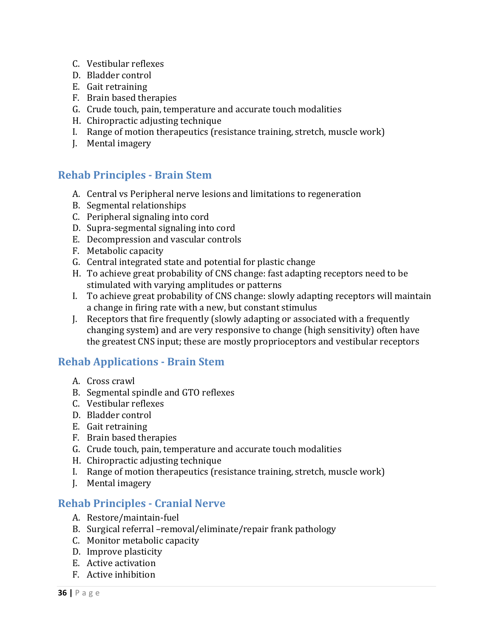- C. Vestibular reflexes
- D. Bladder control
- E. Gait retraining
- F. Brain based therapies
- G. Crude touch, pain, temperature and accurate touch modalities
- H. Chiropractic adjusting technique
- I. Range of motion therapeutics (resistance training, stretch, muscle work)
- J. Mental imagery

### **Rehab Principles ‐ Brain Stem**

- A. Central vs Peripheral nerve lesions and limitations to regeneration
- B. Segmental relationships
- C. Peripheral signaling into cord
- D. Supra-segmental signaling into cord
- E. Decompression and vascular controls
- F. Metabolic capacity
- G. Central integrated state and potential for plastic change
- H. To achieve great probability of CNS change: fast adapting receptors need to be stimulated with varying amplitudes or patterns
- I. To achieve great probability of CNS change: slowly adapting receptors will maintain a change in firing rate with a new, but constant stimulus
- J. Receptors that fire frequently (slowly adapting or associated with a frequently changing system) and are very responsive to change (high sensitivity) often have the greatest CNS input; these are mostly proprioceptors and vestibular receptors

### **Rehab Applications ‐ Brain Stem**

- A. Cross crawl
- B. Segmental spindle and GTO reflexes
- C. Vestibular reflexes
- D. Bladder control
- E. Gait retraining
- F. Brain based therapies
- G. Crude touch, pain, temperature and accurate touch modalities
- H. Chiropractic adjusting technique
- I. Range of motion therapeutics (resistance training, stretch, muscle work)
- J. Mental imagery

#### **Rehab Principles ‐ Cranial Nerve**

- A. Restore/maintain‐fuel
- B. Surgical referral -removal/eliminate/repair frank pathology
- C. Monitor metabolic capacity
- D. Improve plasticity
- E. Active activation
- F. Active inhibition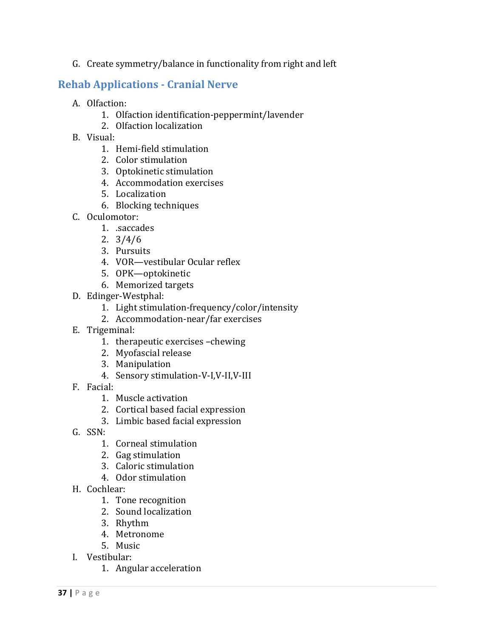G. Create symmetry/balance in functionality from right and left

### **Rehab Applications ‐ Cranial Nerve**

- A. Olfaction:
	- 1. Olfaction identification-peppermint/lavender
	- 2. Olfaction localization
- B. Visual:
	- 1. Hemi-field stimulation
	- 2. Color stimulation
	- 3. Optokinetic stimulation
	- 4. Accommodation exercises
	- 5. Localization
	- 6. Blocking techniques
- C. Oculomotor:
	- 1. .saccades
	- 2. 3/4/6
	- 3. Pursuits
	- 4. VOR—vestibular Ocular reflex
	- 5. OPK—optokinetic
	- 6. Memorized targets
- D. Edinger‐Westphal:
	- 1. Light stimulation-frequency/color/intensity
	- 2. Accommodation-near/far exercises
- E. Trigeminal:
	- 1. therapeutic exercises -chewing
	- 2. Myofascial release
	- 3. Manipulation
	- 4. Sensory stimulation-V-I,V-II,V-III
- F. Facial:
	- 1. Muscle activation
	- 2. Cortical based facial expression
	- 3. Limbic based facial expression
- G. SSN:
	- 1. Corneal stimulation
	- 2. Gag stimulation
	- 3. Caloric stimulation
	- 4. Odor stimulation
- H. Cochlear:
	- 1. Tone recognition
	- 2. Sound localization
	- 3. Rhythm
	- 4. Metronome
	- 5. Music
- I. Vestibular:
	- 1. Angular acceleration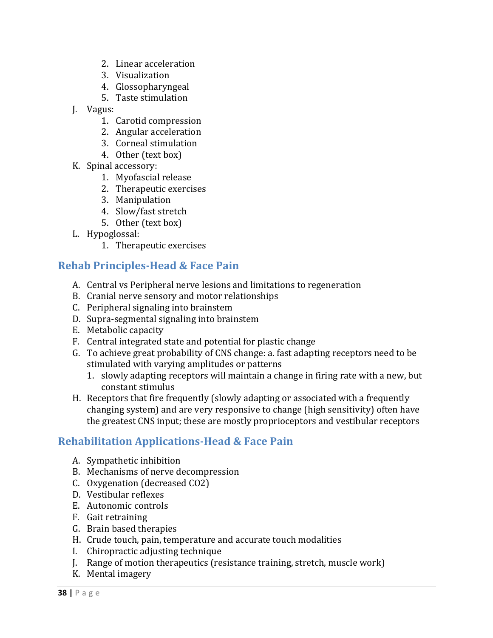- 2. Linear acceleration
- 3. Visualization
- 4. Glossopharyngeal
- 5. Taste stimulation
- J. Vagus:
	- 1. Carotid compression
	- 2. Angular acceleration
	- 3. Corneal stimulation
	- 4. Other (text box)
- K. Spinal accessory:
	- 1. Myofascial release
	- 2. Therapeutic exercises
	- 3. Manipulation
	- 4. Slow/fast stretch
	- 5. Other (text box)
- L. Hypoglossal:
	- 1. Therapeutic exercises

### **Rehab Principles‐Head & Face Pain**

- A. Central vs Peripheral nerve lesions and limitations to regeneration
- B. Cranial nerve sensory and motor relationships
- C. Peripheral signaling into brainstem
- D. Supra-segmental signaling into brainstem
- E. Metabolic capacity
- F. Central integrated state and potential for plastic change
- G. To achieve great probability of CNS change: a. fast adapting receptors need to be stimulated with varying amplitudes or patterns
	- 1. slowly adapting receptors will maintain a change in firing rate with a new, but constant stimulus
- H. Receptors that fire frequently (slowly adapting or associated with a frequently changing system) and are very responsive to change (high sensitivity) often have the greatest CNS input; these are mostly proprioceptors and vestibular receptors

### **Rehabilitation Applications‐Head & Face Pain**

- A. Sympathetic inhibition
- B. Mechanisms of nerve decompression
- C. Oxygenation (decreased CO2)
- D. Vestibular reflexes
- E. Autonomic controls
- F. Gait retraining
- G. Brain based therapies
- H. Crude touch, pain, temperature and accurate touch modalities
- I. Chiropractic adjusting technique
- J. Range of motion therapeutics (resistance training, stretch, muscle work)
- K. Mental imagery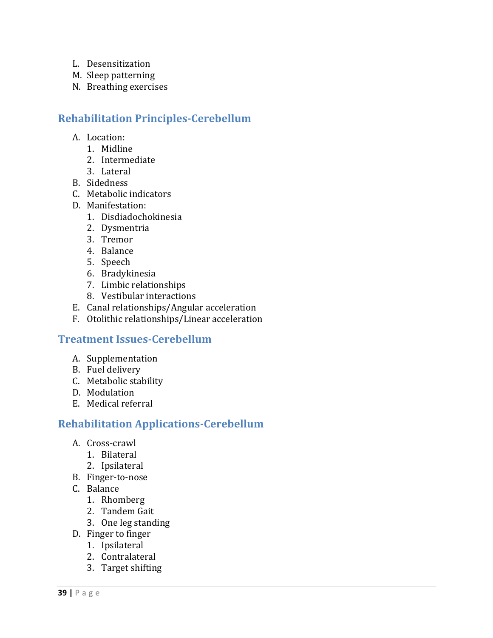- L. Desensitization
- M. Sleep patterning
- N. Breathing exercises

# **Rehabilitation Principles‐Cerebellum**

- A. Location:
	- 1. Midline
	- 2. Intermediate
	- 3. Lateral
- B. Sidedness
- C. Metabolic indicators
- D. Manifestation:
	- 1. Disdiadochokinesia
	- 2. Dysmentria
	- 3. Tremor
	- 4. Balance
	- 5. Speech
	- 6. Bradykinesia
	- 7. Limbic relationships
	- 8. Vestibular interactions
- E. Canal relationships/Angular acceleration
- F. Otolithic relationships/Linear acceleration

### **Treatment Issues‐Cerebellum**

- A. Supplementation
- B. Fuel delivery
- C. Metabolic stability
- D. Modulation
- E. Medical referral

### **Rehabilitation Applications‐Cerebellum**

- A. Cross‐crawl
	- 1. Bilateral
	- 2. Ipsilateral
- B. Finger‐to‐nose
- C. Balance
	- 1. Rhomberg
	- 2. Tandem Gait
	- 3. One leg standing
- D. Finger to finger
	- 1. Ipsilateral
	- 2. Contralateral
	- 3. Target shifting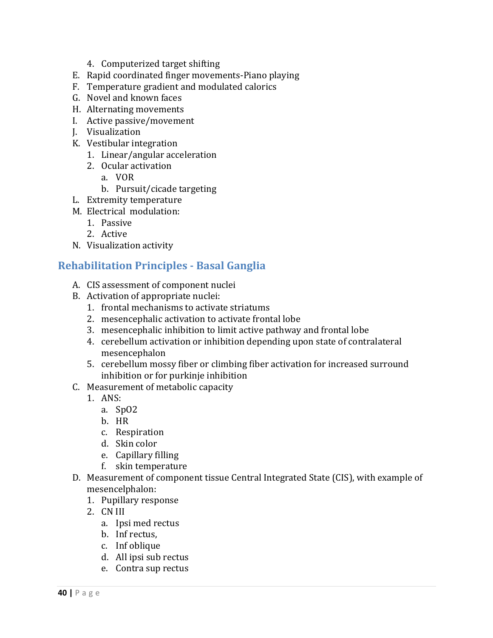- 4. Computerized target shifting
- E. Rapid coordinated finger movements-Piano playing
- F. Temperature gradient and modulated calorics
- G. Novel and known faces
- H. Alternating movements
- I. Active passive/movement
- J. Visualization
- K. Vestibular integration
	- 1. Linear/angular acceleration
	- 2. Ocular activation
		- a. VOR
		- b. Pursuit/cicade targeting
- L. Extremity temperature
- M. Electrical modulation:
	- 1. Passive
	- 2. Active
- N. Visualization activity

### **Rehabilitation Principles ‐ Basal Ganglia**

- A. CIS assessment of component nuclei
- B. Activation of appropriate nuclei:
	- 1. frontal mechanisms to activate striatums
	- 2. mesencephalic activation to activate frontal lobe
	- 3. mesencephalic inhibition to limit active pathway and frontal lobe
	- 4. cerebellum activation or inhibition depending upon state of contralateral mesencephalon
	- 5. cerebellum mossy fiber or climbing fiber activation for increased surround inhibition or for purkinje inhibition
- C. Measurement of metabolic capacity
	- 1. ANS:
		- a. SpO2
		- b. HR
		- c. Respiration
		- d. Skin color
		- e. Capillary filling
		- f. skin temperature
- D. Measurement of component tissue Central Integrated State (CIS), with example of mesencelphalon:
	- 1. Pupillary response
	- 2. CN III
		- a. Ipsi med rectus
		- b. Inf rectus,
		- c. Inf oblique
		- d. All ipsi sub rectus
		- e. Contra sup rectus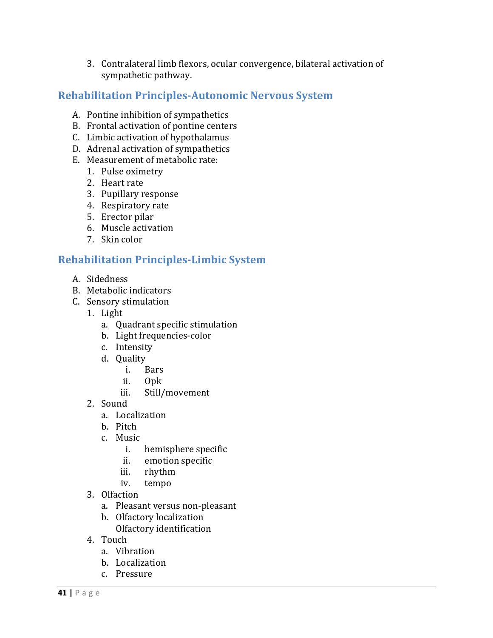3. Contralateral limb flexors, ocular convergence, bilateral activation of sympathetic pathway.

### **Rehabilitation Principles‐Autonomic Nervous System**

- A. Pontine inhibition of sympathetics
- B. Frontal activation of pontine centers
- C. Limbic activation of hypothalamus
- D. Adrenal activation of sympathetics
- E. Measurement of metabolic rate:
	- 1. Pulse oximetry
	- 2. Heart rate
	- 3. Pupillary response
	- 4. Respiratory rate
	- 5. Erector pilar
	- 6. Muscle activation
	- 7. Skin color

### **Rehabilitation Principles‐Limbic System**

- A. Sidedness
- B. Metabolic indicators
- C. Sensory stimulation
	- 1. Light
		- a. Quadrant specific stimulation
		- b. Light frequencies-color
		- c. Intensity
		- d. Quality
			- i. Bars
			- ii. Opk
			- iii. Still/movement
	- 2. Sound
		- a. Localization
		- b. Pitch
		- c. Music
			- i. hemisphere specific
			- ii. emotion specific
			- iii. rhythm
			- iv. tempo
	- 3. Olfaction
		- a. Pleasant versus non-pleasant
		- b. Olfactory localization Olfactory identification
	- 4. Touch
		- a. Vibration
		- b. Localization
		- c. Pressure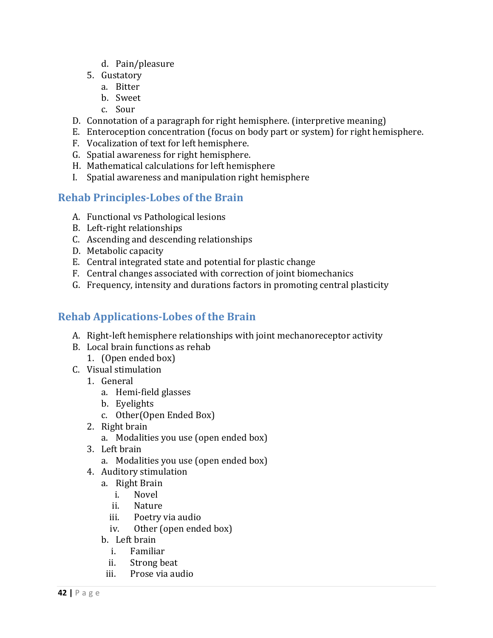- d. Pain/pleasure
- 5. Gustatory
	- a. Bitter
	- b. Sweet
	- c. Sour
- D. Connotation of a paragraph for right hemisphere. (interpretive meaning)
- E. Enteroception concentration (focus on body part or system) for right hemisphere.
- F. Vocalization of text for left hemisphere.
- G. Spatial awareness for right hemisphere.
- H. Mathematical calculations for left hemisphere
- I. Spatial awareness and manipulation right hemisphere

# **Rehab Principles‐Lobes of the Brain**

- A. Functional vs Pathological lesions
- B. Left-right relationships
- C. Ascending and descending relationships
- D. Metabolic capacity
- E. Central integrated state and potential for plastic change
- F. Central changes associated with correction of joint biomechanics
- G. Frequency, intensity and durations factors in promoting central plasticity

# **Rehab Applications‐Lobes of the Brain**

- A. Right-left hemisphere relationships with joint mechanoreceptor activity
- B. Local brain functions as rehab 1. (Open ended box)
- C. Visual stimulation
	- 1. General
		- a. Hemi‐field glasses
		- b. Eyelights
		- c. Other(Open Ended Box)
	- 2. Right brain
		- a. Modalities you use (open ended box)
	- 3. Left brain
		- a. Modalities you use (open ended box)
	- 4. Auditory stimulation
		- a. Right Brain
			- i. Novel
			- ii. Nature
			- iii. Poetry via audio
			- iv. Other (open ended box)
		- b. Left brain
			- i. Familiar
			- ii. Strong beat
			- iii. Prose via audio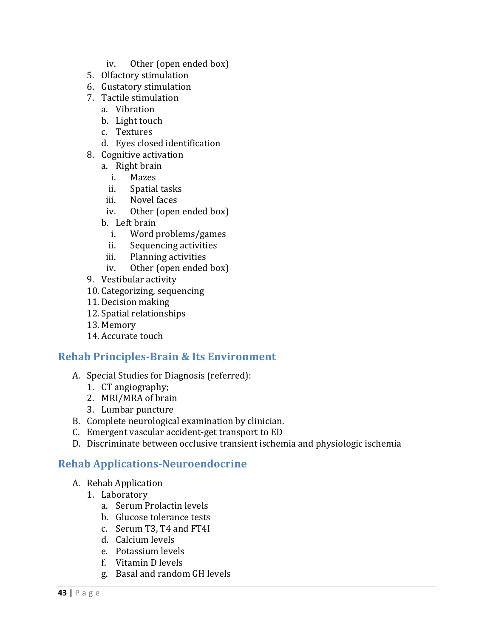- iv. Other (open ended box)
- 5. Olfactory stimulation
- 6. Gustatory stimulation
- 7. Tactile stimulation
	- a. Vibration
	- b. Light touch
	- c. Textures
	- d. Eyes closed identification
- 8. Cognitive activation
	- a. Right brain
		- i. Mazes
		- ii. Spatial tasks
	- iii. Novel faces
	- iv. Other (open ended box)
	- b. Left brain
		- i. Word problems/games
		- ii. Sequencing activities
	- iii. Planning activities
	- iv. Other (open ended box)
- 9. Vestibular activity
- 10. Categorizing, sequencing
- 11. Decision making
- 12. Spatial relationships
- 13. Memory
- 14. Accurate touch

#### **Rehab Principles‐Brain & Its Environment**

- A. Special Studies for Diagnosis (referred):
	- 1. CT angiography;
	- 2. MRI/MRA of brain
	- 3. Lumbar puncture
- B. Complete neurological examination by clinician.
- C. Emergent vascular accident-get transport to ED
- D. Discriminate between occlusive transient ischemia and physiologic ischemia

### **Rehab Applications‐Neuroendocrine**

- A. Rehab Application
	- 1. Laboratory
		- a. Serum Prolactin levels
		- b. Glucose tolerance tests
		- c. Serum T3, T4 and FT4I
		- d. Calcium levels
		- e. Potassium levels
		- f. Vitamin D levels
		- g. Basal and random GH levels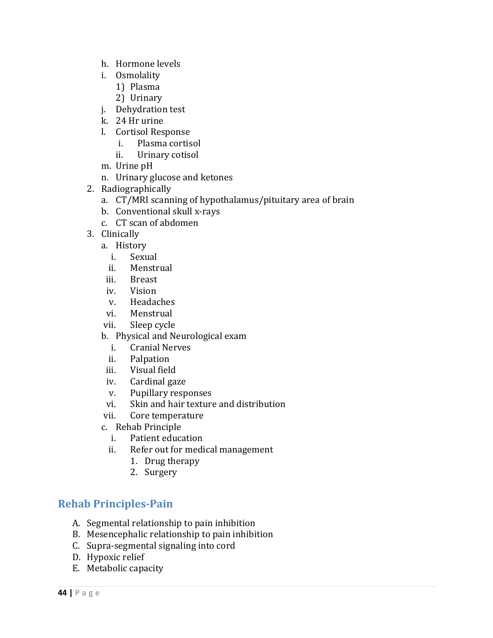- h. Hormone levels
- i. Osmolality
	- 1) Plasma
	- 2) Urinary
- j. Dehydration test
- k. 24 Hr urine
- l. Cortisol Response
	- i. Plasma cortisol
	- ii. Urinary cotisol
- m. Urine pH
- n. Urinary glucose and ketones
- 2. Radiographically
	- a. CT/MRI scanning of hypothalamus/pituitary area of brain
	- b. Conventional skull x-rays
	- c. CT scan of abdomen
- 3. Clinically
	- a. History
		- i. Sexual
		- ii. Menstrual
	- iii. Breast
	- iv. Vision
	- v. Headaches
	- vi. Menstrual
	- vii. Sleep cycle
	- b. Physical and Neurological exam
		- i. Cranial Nerves
		- ii. Palpation
	- iii. Visual field
	- iv. Cardinal gaze
	- v. Pupillary responses
	- vi. Skin and hair texture and distribution
	- vii. Core temperature
	- c. Rehab Principle
		- i. Patient education
		- ii. Refer out for medical management
			- 1. Drug therapy
			- 2. Surgery

### **Rehab Principles‐Pain**

- A. Segmental relationship to pain inhibition
- B. Mesencephalic relationship to pain inhibition
- C. Supra-segmental signaling into cord
- D. Hypoxic relief
- E. Metabolic capacity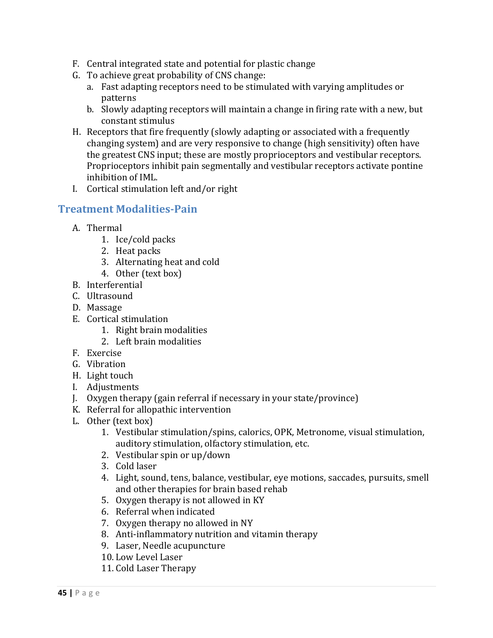- F. Central integrated state and potential for plastic change
- G. To achieve great probability of CNS change:
	- a. Fast adapting receptors need to be stimulated with varying amplitudes or patterns
	- b. Slowly adapting receptors will maintain a change in firing rate with a new, but constant stimulus
- H. Receptors that fire frequently (slowly adapting or associated with a frequently changing system) and are very responsive to change (high sensitivity) often have the greatest CNS input; these are mostly proprioceptors and vestibular receptors. Proprioceptors inhibit pain segmentally and vestibular receptors activate pontine inhibition of IML.
- I. Cortical stimulation left and/or right

### **Treatment Modalities‐Pain**

- A. Thermal
	- 1. Ice/cold packs
	- 2. Heat packs
	- 3. Alternating heat and cold
	- 4. Other (text box)
- B. Interferential
- C. Ultrasound
- D. Massage
- E. Cortical stimulation
	- 1. Right brain modalities
	- 2. Left brain modalities
- F. Exercise
- G. Vibration
- H. Light touch
- I. Adjustments
- J. Oxygen therapy (gain referral if necessary in your state/province)
- K. Referral for allopathic intervention
- L. Other (text box)
	- 1. Vestibular stimulation/spins, calorics, OPK, Metronome, visual stimulation, auditory stimulation, olfactory stimulation, etc.
	- 2. Vestibular spin or up/down
	- 3. Cold laser
	- 4. Light, sound, tens, balance, vestibular, eye motions, saccades, pursuits, smell and other therapies for brain based rehab
	- 5. Oxygen therapy is not allowed in KY
	- 6. Referral when indicated
	- 7. Oxygen therapy no allowed in NY
	- 8. Anti-inflammatory nutrition and vitamin therapy
	- 9. Laser, Needle acupuncture
	- 10. Low Level Laser
	- 11. Cold Laser Therapy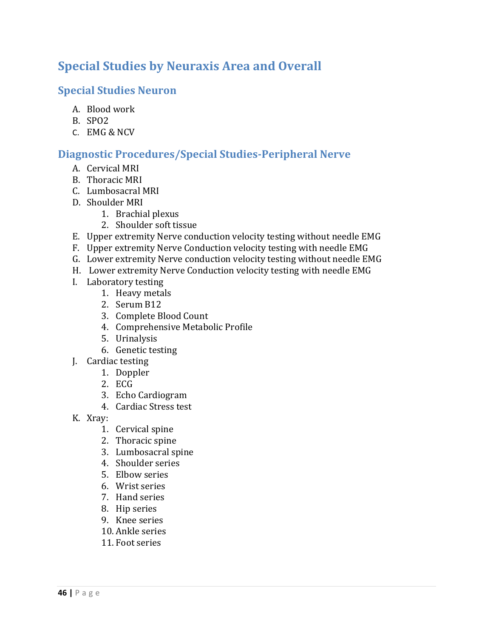# **Special Studies by Neuraxis Area and Overall**

## **Special Studies Neuron**

- A. Blood work
- B. SPO2
- C. EMG & NCV

# **Diagnostic Procedures/Special Studies‐Peripheral Nerve**

- A. Cervical MRI
- B. Thoracic MRI
- C. Lumbosacral MRI
- D. Shoulder MRI
	- 1. Brachial plexus
	- 2. Shoulder soft tissue
- E. Upper extremity Nerve conduction velocity testing without needle EMG
- F. Upper extremity Nerve Conduction velocity testing with needle EMG
- G. Lower extremity Nerve conduction velocity testing without needle EMG
- H. Lower extremity Nerve Conduction velocity testing with needle EMG
- I. Laboratory testing
	- 1. Heavy metals
	- 2. Serum B12
	- 3. Complete Blood Count
	- 4. Comprehensive Metabolic Profile
	- 5. Urinalysis
	- 6. Genetic testing
- J. Cardiac testing
	- 1. Doppler
	- 2. ECG
	- 3. Echo Cardiogram
	- 4. Cardiac Stress test
- K. Xray:
	- 1. Cervical spine
	- 2. Thoracic spine
	- 3. Lumbosacral spine
	- 4. Shoulder series
	- 5. Elbow series
	- 6. Wrist series
	- 7. Hand series
	- 8. Hip series
	- 9. Knee series
	- 10. Ankle series
	- 11. Foot series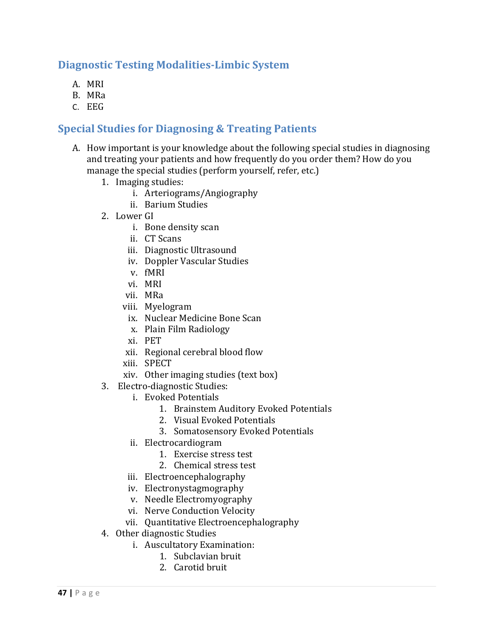## **Diagnostic Testing Modalities‐Limbic System**

- A. MRI
- B. MRa
- C. EEG

### **Special Studies for Diagnosing & Treating Patients**

- A. How important is your knowledge about the following special studies in diagnosing and treating your patients and how frequently do you order them? How do you manage the special studies (perform yourself, refer, etc.)
	- 1. Imaging studies:
		- i. Arteriograms/Angiography
		- ii. Barium Studies
	- 2. Lower GI
		- i. Bone density scan
		- ii. CT Scans
		- iii. Diagnostic Ultrasound
		- iv. Doppler Vascular Studies
		- v. fMRI
		- vi. MRI
		- vii. MRa
		- viii. Myelogram
		- ix. Nuclear Medicine Bone Scan
		- x. Plain Film Radiology
		- xi. PET
		- xii. Regional cerebral blood flow
		- xiii. SPECT
		- xiv. Other imaging studies  $(text box)$
	- 3. Electro-diagnostic Studies:
		- i. Evoked Potentials
			- 1. Brainstem Auditory Evoked Potentials
			- 2. Visual Evoked Potentials
			- 3. Somatosensory Evoked Potentials
		- ii. Electrocardiogram
			- 1. Exercise stress test
			- 2. Chemical stress test
		- iii. Electroencephalography
		- iv. Electronystagmography
		- v. Needle Electromyography
		- vi. Nerve Conduction Velocity
		- vii. Quantitative Electroencephalography
	- 4. Other diagnostic Studies
		- i. Auscultatory Examination:
			- 1. Subclavian bruit
			- 2. Carotid bruit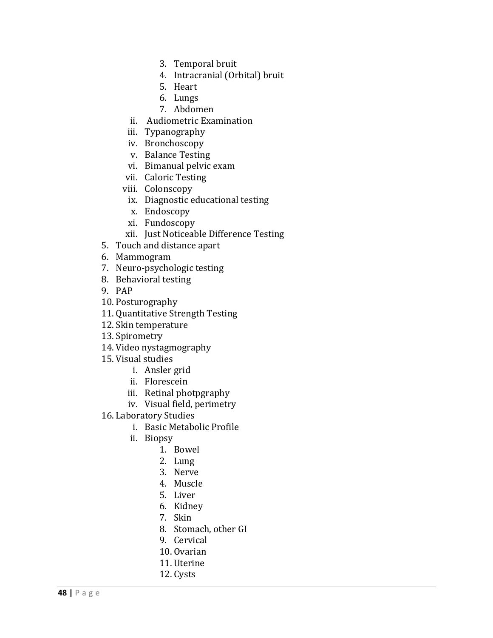- 3. Temporal bruit
- 4. Intracranial (Orbital) bruit
- 5. Heart
- 6. Lungs
- 7. Abdomen
- ii. Audiometric Examination
- iii. Typanography
- iv. Bronchoscopy
- v. Balance Testing
- vi. Bimanual pelvic exam
- vii. Caloric Testing
- viii. Colonscopy
- ix. Diagnostic educational testing
- x. Endoscopy
- xi. Fundoscopy
- xii. Just Noticeable Difference Testing
- 5. Touch and distance apart
- 6. Mammogram
- 7. Neuro-psychologic testing
- 8. Behavioral testing
- 9. PAP
- 10. Posturography
- 11. Quantitative Strength Testing
- 12. Skin temperature
- 13. Spirometry
- 14. Video nystagmography
- 15. Visual studies
	- i. Ansler grid
	- ii. Florescein
	- iii. Retinal photpgraphy
	- iv. Visual field, perimetry
- 16. Laboratory Studies
	- i. Basic Metabolic Profile
	- ii. Biopsy
		- 1. Bowel
		- 2. Lung
		- 3. Nerve
		- 4. Muscle
		- 5. Liver
		- 6. Kidney
		- 7. Skin
		- 8. Stomach, other GI
		- 9. Cervical
		- 10. Ovarian
		- 11. Uterine
		- 12. Cysts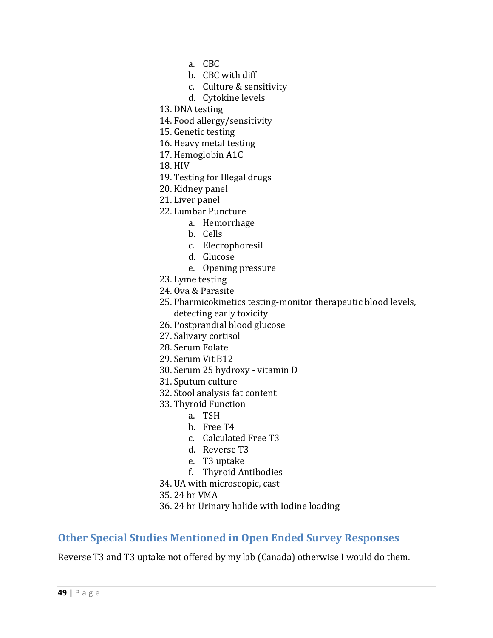- a. CBC
- b. CBC with diff
- c. Culture & sensitivity
- d. Cytokine levels
- 13. DNA testing
- 14. Food allergy/sensitivity
- 15. Genetic testing
- 16. Heavy metal testing
- 17. Hemoglobin A1C
- 18. HIV
- 19. Testing for Illegal drugs
- 20. Kidney panel
- 21. Liver panel
- 22. Lumbar Puncture
	- a. Hemorrhage
	- b. Cells
	- c. Elecrophoresil
	- d. Glucose
	- e. Opening pressure
- 23. Lyme testing
- 24. Ova & Parasite
- 25. Pharmicokinetics testing-monitor therapeutic blood levels, detecting early toxicity
- 26. Postprandial blood glucose
- 27. Salivary cortisol
- 28. Serum Folate
- 29. Serum Vit B12
- 30. Serum 25 hydroxy vitamin D
- 31. Sputum culture
- 32. Stool analysis fat content
- 33. Thyroid Function
	- a. TSH
	- b. Free T4
	- c. Calculated Free T3
	- d. Reverse T3
	- e. T3 uptake
	- f. Thyroid Antibodies
- 34. UA with microscopic, cast
- 35. 24 hr VMA
- 36. 24 hr Urinary halide with Iodine loading

### **Other Special Studies Mentioned in Open Ended Survey Responses**

Reverse T3 and T3 uptake not offered by my lab (Canada) otherwise I would do them.